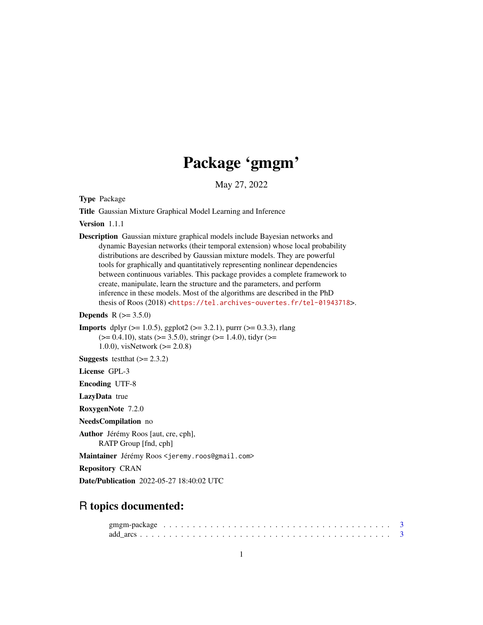# Package 'gmgm'

May 27, 2022

Type Package

Title Gaussian Mixture Graphical Model Learning and Inference

Version 1.1.1

Description Gaussian mixture graphical models include Bayesian networks and dynamic Bayesian networks (their temporal extension) whose local probability distributions are described by Gaussian mixture models. They are powerful tools for graphically and quantitatively representing nonlinear dependencies between continuous variables. This package provides a complete framework to create, manipulate, learn the structure and the parameters, and perform inference in these models. Most of the algorithms are described in the PhD thesis of Roos (2018) <<https://tel.archives-ouvertes.fr/tel-01943718>>.

**Depends** R  $(>= 3.5.0)$ 

**Imports** dplyr ( $>= 1.0.5$ ), ggplot2 ( $>= 3.2.1$ ), purrr ( $>= 0.3.3$ ), rlang  $(>= 0.4.10)$ , stats  $(>= 3.5.0)$ , stringr  $(>= 1.4.0)$ , tidyr  $(>= 1.4.0)$ 1.0.0), visNetwork (>= 2.0.8)

**Suggests** test that  $(>= 2.3.2)$ 

License GPL-3

Encoding UTF-8

LazyData true

RoxygenNote 7.2.0

NeedsCompilation no

Author Jérémy Roos [aut, cre, cph], RATP Group [fnd, cph]

Maintainer Jérémy Roos <jeremy.roos@gmail.com>

Repository CRAN

Date/Publication 2022-05-27 18:40:02 UTC

# R topics documented: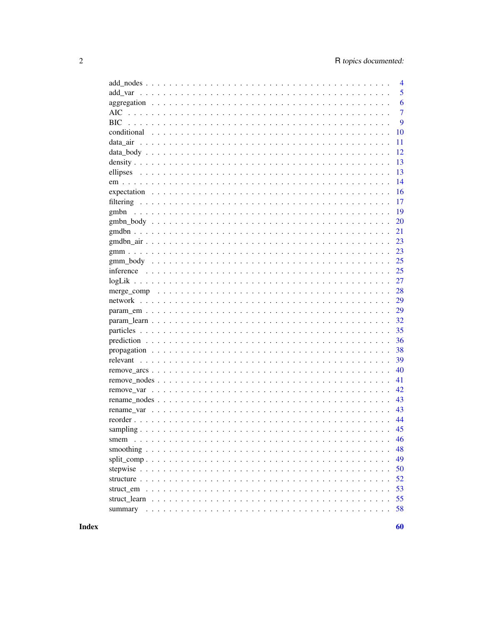|      | $\overline{4}$ |
|------|----------------|
|      | 5              |
|      | 6              |
| AIC. | $\overline{7}$ |
|      | 9              |
|      | 10             |
|      | 11             |
|      | 12             |
|      | 13             |
|      | 13             |
|      | 14             |
|      | 16             |
|      | 17             |
| gmbn | 19             |
|      | 20             |
|      | 21             |
|      | 23             |
|      | 23             |
|      | 25             |
|      | 25             |
|      | 27             |
|      | 28             |
|      | 29             |
|      | 29             |
|      | 32             |
|      | 35             |
|      | 36             |
|      | 38             |
|      | 39             |
|      | 40             |
|      |                |
|      | 41             |
|      | 42             |
|      | 43             |
|      | 43             |
|      | 44             |
|      | 45             |
|      | 46             |
|      | 48             |
|      | 49             |
|      | 50             |
|      | 52             |
|      | 53             |
|      | 55             |
|      | 58             |
|      |                |

60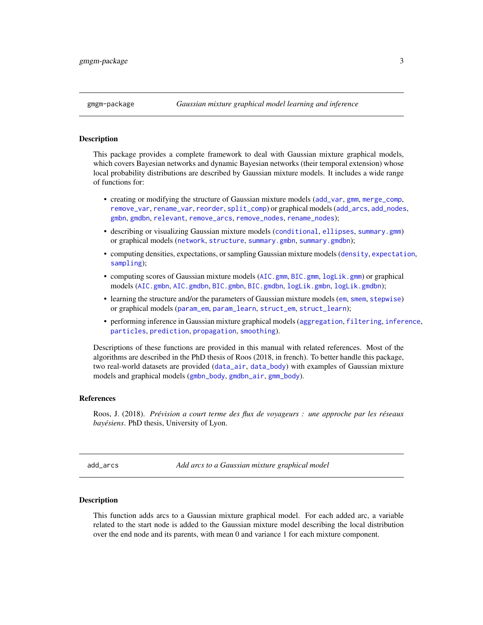### <span id="page-2-0"></span>Description

This package provides a complete framework to deal with Gaussian mixture graphical models, which covers Bayesian networks and dynamic Bayesian networks (their temporal extension) whose local probability distributions are described by Gaussian mixture models. It includes a wide range of functions for:

- creating or modifying the structure of Gaussian mixture models ([add\\_var](#page-4-1), [gmm](#page-22-1), [merge\\_comp](#page-27-1), [remove\\_var](#page-41-1), [rename\\_var](#page-42-1), [reorder](#page-43-1), [split\\_comp](#page-48-1)) or graphical models ([add\\_arcs](#page-2-1), [add\\_nodes](#page-3-1), [gmbn](#page-18-1), [gmdbn](#page-20-1), [relevant](#page-38-1), [remove\\_arcs](#page-39-1), [remove\\_nodes](#page-40-1), [rename\\_nodes](#page-42-2));
- describing or visualizing Gaussian mixture models ([conditional](#page-9-1), [ellipses](#page-12-1), [summary.gmm](#page-57-1)) or graphical models ([network](#page-28-1), [structure](#page-51-1), [summary.gmbn](#page-57-1), [summary.gmdbn](#page-57-1));
- computing densities, expectations, or sampling Gaussian mixture models ([density](#page-12-2), [expectation](#page-15-1), [sampling](#page-44-1));
- computing scores of Gaussian mixture models ([AIC.gmm](#page-6-1), [BIC.gmm](#page-8-1), [logLik.gmm](#page-26-1)) or graphical models ([AIC.gmbn](#page-6-1), [AIC.gmdbn](#page-6-1), [BIC.gmbn](#page-8-1), [BIC.gmdbn](#page-8-1), [logLik.gmbn](#page-26-1), [logLik.gmdbn](#page-26-1));
- learning the structure and/or the parameters of Gaussian mixture models ([em](#page-13-1), [smem](#page-45-1), [stepwise](#page-49-1)) or graphical models ([param\\_em](#page-28-2), [param\\_learn](#page-31-1), [struct\\_em](#page-52-1), [struct\\_learn](#page-54-1));
- performing inference in Gaussian mixture graphical models ([aggregation](#page-5-1), [filtering](#page-16-1), [inference](#page-24-1), [particles](#page-34-1), [prediction](#page-35-1), [propagation](#page-37-1), [smoothing](#page-47-1)).

Descriptions of these functions are provided in this manual with related references. Most of the algorithms are described in the PhD thesis of Roos (2018, in french). To better handle this package, two real-world datasets are provided ([data\\_air](#page-10-1), [data\\_body](#page-11-1)) with examples of Gaussian mixture models and graphical models ([gmbn\\_body](#page-19-1), [gmdbn\\_air](#page-22-2), [gmm\\_body](#page-24-2)).

# References

Roos, J. (2018). *Prévision a court terme des flux de voyageurs : une approche par les réseaux bayésiens*. PhD thesis, University of Lyon.

<span id="page-2-1"></span>add\_arcs *Add arcs to a Gaussian mixture graphical model*

### **Description**

This function adds arcs to a Gaussian mixture graphical model. For each added arc, a variable related to the start node is added to the Gaussian mixture model describing the local distribution over the end node and its parents, with mean 0 and variance 1 for each mixture component.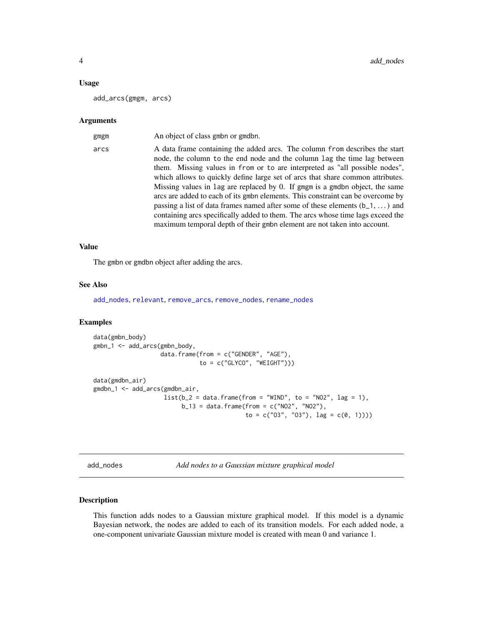### <span id="page-3-0"></span>Usage

add\_arcs(gmgm, arcs)

### Arguments

| gmgm | An object of class gmbn or gmdbn.                                                                                                                                                                                                                                                                                                                                                                                                                                                                                                                                                                                                                                                                                                                  |
|------|----------------------------------------------------------------------------------------------------------------------------------------------------------------------------------------------------------------------------------------------------------------------------------------------------------------------------------------------------------------------------------------------------------------------------------------------------------------------------------------------------------------------------------------------------------------------------------------------------------------------------------------------------------------------------------------------------------------------------------------------------|
| arcs | A data frame containing the added arcs. The column from describes the start<br>node, the column to the end node and the column lag the time lag between<br>them. Missing values in from or to are interpreted as "all possible nodes",<br>which allows to quickly define large set of arcs that share common attributes.<br>Missing values in lag are replaced by 0. If gmgm is a gmdbn object, the same<br>arcs are added to each of its gmbn elements. This constraint can be overcome by<br>passing a list of data frames named after some of these elements $(b_1, \ldots)$ and<br>containing arcs specifically added to them. The arcs whose time lags exceed the<br>maximum temporal depth of their gmbn element are not taken into account. |
|      |                                                                                                                                                                                                                                                                                                                                                                                                                                                                                                                                                                                                                                                                                                                                                    |

### Value

The gmbn or gmdbn object after adding the arcs.

### See Also

[add\\_nodes](#page-3-1), [relevant](#page-38-1), [remove\\_arcs](#page-39-1), [remove\\_nodes](#page-40-1), [rename\\_nodes](#page-42-2)

# Examples

```
data(gmbn_body)
gmbn_1 <- add_arcs(gmbn_body,
                   data.frame(from = c("GENDER", "AGE"),
                              to = c("GLYCO", "WEIGHT")))
data(gmdbn_air)
gmdbn_1 <- add_arcs(gmdbn_air,
                    list(b_2 = data frame(from = "WIND", to = "NO2", lag = 1),b_13 = data. frame(from = c("NO2", "NO2"),
                                           to = c("03", "03"), lag = c(0, 1))))
```
<span id="page-3-1"></span>add\_nodes *Add nodes to a Gaussian mixture graphical model*

# Description

This function adds nodes to a Gaussian mixture graphical model. If this model is a dynamic Bayesian network, the nodes are added to each of its transition models. For each added node, a one-component univariate Gaussian mixture model is created with mean 0 and variance 1.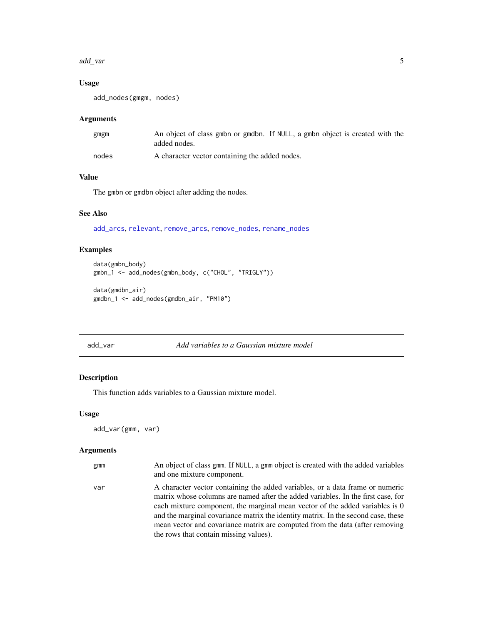### <span id="page-4-0"></span>add\_var 5

# Usage

```
add_nodes(gmgm, nodes)
```
# Arguments

| gmgm  | An object of class gmbn or gmdbn. If NULL, a gmbn object is created with the<br>added nodes. |
|-------|----------------------------------------------------------------------------------------------|
| nodes | A character vector containing the added nodes.                                               |

# Value

The gmbn or gmdbn object after adding the nodes.

# See Also

[add\\_arcs](#page-2-1), [relevant](#page-38-1), [remove\\_arcs](#page-39-1), [remove\\_nodes](#page-40-1), [rename\\_nodes](#page-42-2)

# Examples

```
data(gmbn_body)
gmbn_1 <- add_nodes(gmbn_body, c("CHOL", "TRIGLY"))
```

```
data(gmdbn_air)
gmdbn_1 <- add_nodes(gmdbn_air, "PM10")
```
### <span id="page-4-1"></span>add\_var *Add variables to a Gaussian mixture model*

# Description

This function adds variables to a Gaussian mixture model.

### Usage

```
add_var(gmm, var)
```
# Arguments

| gmm | An object of class gmm. If NULL, a gmm object is created with the added variables<br>and one mixture component.                                                                                                                                                                                                                                                                                                                                                  |
|-----|------------------------------------------------------------------------------------------------------------------------------------------------------------------------------------------------------------------------------------------------------------------------------------------------------------------------------------------------------------------------------------------------------------------------------------------------------------------|
| var | A character vector containing the added variables, or a data frame or numeric<br>matrix whose columns are named after the added variables. In the first case, for<br>each mixture component, the marginal mean vector of the added variables is 0<br>and the marginal covariance matrix the identity matrix. In the second case, these<br>mean vector and covariance matrix are computed from the data (after removing<br>the rows that contain missing values). |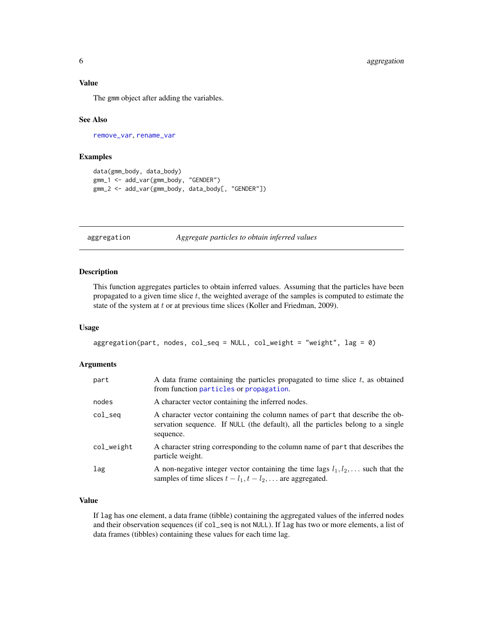### <span id="page-5-0"></span>Value

The gmm object after adding the variables.

### See Also

[remove\\_var](#page-41-1), [rename\\_var](#page-42-1)

# Examples

```
data(gmm_body, data_body)
gmm_1 <- add_var(gmm_body, "GENDER")
gmm_2 <- add_var(gmm_body, data_body[, "GENDER"])
```
<span id="page-5-1"></span>aggregation *Aggregate particles to obtain inferred values*

# Description

This function aggregates particles to obtain inferred values. Assuming that the particles have been propagated to a given time slice  $t$ , the weighted average of the samples is computed to estimate the state of the system at  $t$  or at previous time slices (Koller and Friedman, 2009).

#### Usage

```
aggregation(part, nodes, col_seq = NULL, col_weight = "weight", lag = 0)
```
# Arguments

| part       | A data frame containing the particles propagated to time slice $t$ , as obtained<br>from function particles or propagation.                                                  |
|------------|------------------------------------------------------------------------------------------------------------------------------------------------------------------------------|
| nodes      | A character vector containing the inferred nodes.                                                                                                                            |
| $col\_seq$ | A character vector containing the column names of part that describe the ob-<br>servation sequence. If NULL (the default), all the particles belong to a single<br>sequence. |
| col_weight | A character string corresponding to the column name of part that describes the<br>particle weight.                                                                           |
| lag        | A non-negative integer vector containing the time lags $l_1, l_2, \ldots$ such that the<br>samples of time slices $t - l_1, t - l_2, \dots$ are aggregated.                  |

# Value

If lag has one element, a data frame (tibble) containing the aggregated values of the inferred nodes and their observation sequences (if col\_seq is not NULL). If lag has two or more elements, a list of data frames (tibbles) containing these values for each time lag.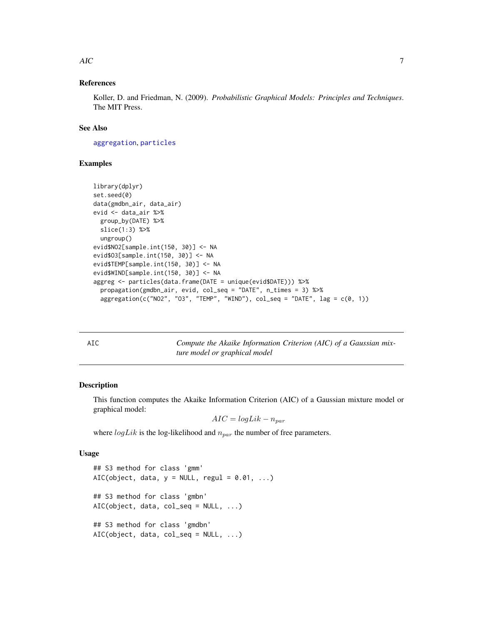### <span id="page-6-0"></span> $\overline{AC}$  7

# References

Koller, D. and Friedman, N. (2009). *Probabilistic Graphical Models: Principles and Techniques*. The MIT Press.

# See Also

[aggregation](#page-5-1), [particles](#page-34-1)

# Examples

```
library(dplyr)
set.seed(0)
data(gmdbn_air, data_air)
evid <- data_air %>%
 group_by(DATE) %>%
 slice(1:3) %>%
 ungroup()
evid$NO2[sample.int(150, 30)] <- NA
evid$O3[sample.int(150, 30)] <- NA
evid$TEMP[sample.int(150, 30)] <- NA
evid$WIND[sample.int(150, 30)] <- NA
aggreg <- particles(data.frame(DATE = unique(evid$DATE))) %>%
 propagation(gmdbn_air, evid, col_seq = "DATE", n_times = 3) %>%
 aggregation(c("NO2", "O3", "TEMP", "WIND"), col\_seq = "DATE", lag = c(0, 1))
```
<span id="page-6-2"></span>

| × | ۰.<br>I<br>$\sim$ |
|---|-------------------|
|   |                   |

Compute the Akaike Information Criterion (AIC) of a Gaussian mix*ture model or graphical model*

### <span id="page-6-1"></span>Description

This function computes the Akaike Information Criterion (AIC) of a Gaussian mixture model or graphical model:

 $AIC = logLik - n_{par}$ 

where  $logLik$  is the log-likelihood and  $n_{par}$  the number of free parameters.

### Usage

```
## S3 method for class 'gmm'
AIC(object, data, y = NULL, regul = 0.01, ...)
## S3 method for class 'gmbn'
AIC(object, data, col_seq = NULL, ...)
## S3 method for class 'gmdbn'
AIC(object, data, col_seq = NULL, ...)
```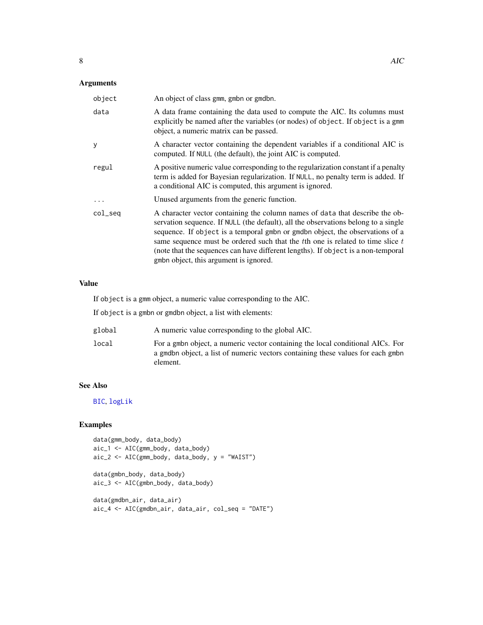# <span id="page-7-0"></span>Arguments

| object     | An object of class gmm, gmbn or gmdbn.                                                                                                                                                                                                                                                                                                                                                                                                                                    |
|------------|---------------------------------------------------------------------------------------------------------------------------------------------------------------------------------------------------------------------------------------------------------------------------------------------------------------------------------------------------------------------------------------------------------------------------------------------------------------------------|
| data       | A data frame containing the data used to compute the AIC. Its columns must<br>explicitly be named after the variables (or nodes) of object. If object is a gmm<br>object, a numeric matrix can be passed.                                                                                                                                                                                                                                                                 |
| у          | A character vector containing the dependent variables if a conditional AIC is<br>computed. If NULL (the default), the joint AIC is computed.                                                                                                                                                                                                                                                                                                                              |
| regul      | A positive numeric value corresponding to the regularization constant if a penalty<br>term is added for Bayesian regularization. If NULL, no penalty term is added. If<br>a conditional AIC is computed, this argument is ignored.                                                                                                                                                                                                                                        |
| $\cdot$    | Unused arguments from the generic function.                                                                                                                                                                                                                                                                                                                                                                                                                               |
| $col\_seq$ | A character vector containing the column names of data that describe the ob-<br>servation sequence. If NULL (the default), all the observations belong to a single<br>sequence. If object is a temporal gmbn or gmdbn object, the observations of a<br>same sequence must be ordered such that the $t$ th one is related to time slice $t$<br>(note that the sequences can have different lengths). If object is a non-temporal<br>gmbn object, this argument is ignored. |

### Value

If object is a gmm object, a numeric value corresponding to the AIC.

If object is a gmbn or gmdbn object, a list with elements:

| global | A numeric value corresponding to the global AIC. |  |  |  |
|--------|--------------------------------------------------|--|--|--|
|        |                                                  |  |  |  |

local For a gmbn object, a numeric vector containing the local conditional AICs. For a gmdbn object, a list of numeric vectors containing these values for each gmbn element.

# See Also

[BIC](#page-8-2), [logLik](#page-26-2)

```
data(gmm_body, data_body)
aic_1 <- AIC(gmm_body, data_body)
\text{aic}_2 \leftarrow \text{AIC}(\text{gmm}\_\text{body}, \text{data}\_\text{body}, \text{y} = \text{"WAIST"})data(gmbn_body, data_body)
aic_3 <- AIC(gmbn_body, data_body)
data(gmdbn_air, data_air)
aic_4 <- AIC(gmdbn_air, data_air, col_seq = "DATE")
```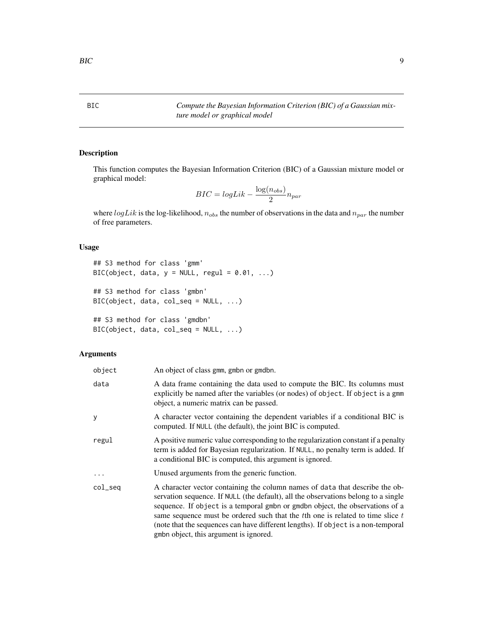<span id="page-8-2"></span><span id="page-8-0"></span>BIC *Compute the Bayesian Information Criterion (BIC) of a Gaussian mixture model or graphical model*

# <span id="page-8-1"></span>Description

This function computes the Bayesian Information Criterion (BIC) of a Gaussian mixture model or graphical model:

$$
BIC = log Lik - \frac{\log(n_{obs})}{2} n_{par}
$$

where  $logLik$  is the log-likelihood,  $n_{obs}$  the number of observations in the data and  $n_{par}$  the number of free parameters.

# Usage

```
## S3 method for class 'gmm'
BIC(object, data, y = NULL, regul = 0.01, ...)
## S3 method for class 'gmbn'
BIC(object, data, col_seq = NULL, ...)
## S3 method for class 'gmdbn'
BIC(object, data, col_seq = NULL, ...)
```
### Arguments

| object   | An object of class gmm, gmbn or gmdbn.                                                                                                                                                                                                                                                                                                                                                                                                                                    |
|----------|---------------------------------------------------------------------------------------------------------------------------------------------------------------------------------------------------------------------------------------------------------------------------------------------------------------------------------------------------------------------------------------------------------------------------------------------------------------------------|
| data     | A data frame containing the data used to compute the BIC. Its columns must<br>explicitly be named after the variables (or nodes) of object. If object is a gmm<br>object, a numeric matrix can be passed.                                                                                                                                                                                                                                                                 |
| у        | A character vector containing the dependent variables if a conditional BIC is<br>computed. If NULL (the default), the joint BIC is computed.                                                                                                                                                                                                                                                                                                                              |
| regul    | A positive numeric value corresponding to the regularization constant if a penalty<br>term is added for Bayesian regularization. If NULL, no penalty term is added. If<br>a conditional BIC is computed, this argument is ignored.                                                                                                                                                                                                                                        |
| $\cdots$ | Unused arguments from the generic function.                                                                                                                                                                                                                                                                                                                                                                                                                               |
| col_seq  | A character vector containing the column names of data that describe the ob-<br>servation sequence. If NULL (the default), all the observations belong to a single<br>sequence. If object is a temporal gmbn or gmdbn object, the observations of a<br>same sequence must be ordered such that the $t$ th one is related to time slice $t$<br>(note that the sequences can have different lengths). If object is a non-temporal<br>gmbn object, this argument is ignored. |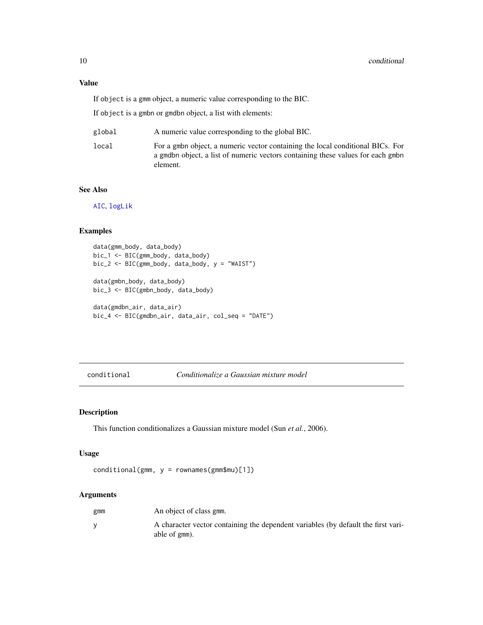# Value

If object is a gmm object, a numeric value corresponding to the BIC.

If object is a gmbn or gmdbn object, a list with elements:

| global | A numeric value corresponding to the global BIC.                                                                                                                              |
|--------|-------------------------------------------------------------------------------------------------------------------------------------------------------------------------------|
| local  | For a gmbn object, a numeric vector containing the local conditional BICs. For<br>a gmdbn object, a list of numeric vectors containing these values for each gmbn<br>element. |

### See Also

[AIC](#page-6-2), [logLik](#page-26-2)

# Examples

```
data(gmm_body, data_body)
bic_1 <- BIC(gmm_body, data_body)
bic_2 <- BIC(gmm_body, data_body, y = "WAIST")
data(gmbn_body, data_body)
bic_3 <- BIC(gmbn_body, data_body)
data(gmdbn_air, data_air)
```

```
bic_4 <- BIC(gmdbn_air, data_air, col_seq = "DATE")
```

```
conditional Conditionalize a Gaussian mixture model
```
# Description

This function conditionalizes a Gaussian mixture model (Sun *et al.*, 2006).

# Usage

```
conditional(gmm, y = rownames(gmm$mu)[1])
```
# Arguments

| gmm | An object of class gmm.                                                                            |
|-----|----------------------------------------------------------------------------------------------------|
|     | A character vector containing the dependent variables (by default the first vari-<br>able of gmm). |

<span id="page-9-0"></span>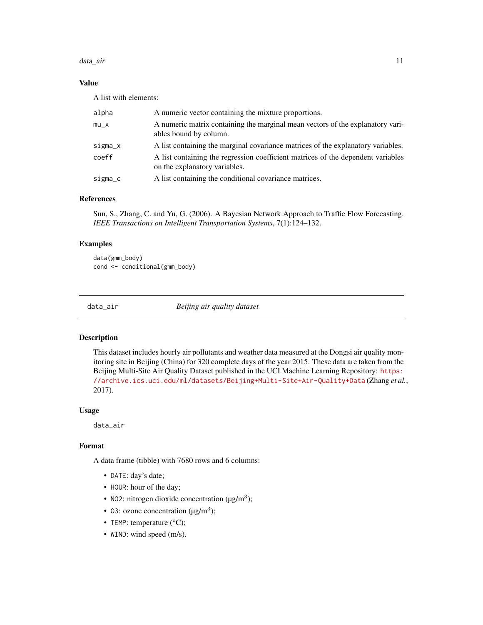### <span id="page-10-0"></span>data\_air 11

# Value

A list with elements:

| alpha   | A numeric vector containing the mixture proportions.                                                              |
|---------|-------------------------------------------------------------------------------------------------------------------|
| $mu_X$  | A numeric matrix containing the marginal mean vectors of the explanatory vari-<br>ables bound by column.          |
| sigma_x | A list containing the marginal covariance matrices of the explanatory variables.                                  |
| coeff   | A list containing the regression coefficient matrices of the dependent variables<br>on the explanatory variables. |
| sigma_c | A list containing the conditional covariance matrices.                                                            |

# References

Sun, S., Zhang, C. and Yu, G. (2006). A Bayesian Network Approach to Traffic Flow Forecasting. *IEEE Transactions on Intelligent Transportation Systems*, 7(1):124–132.

# Examples

data(gmm\_body) cond <- conditional(gmm\_body)

<span id="page-10-1"></span>

data\_air *Beijing air quality dataset*

# Description

This dataset includes hourly air pollutants and weather data measured at the Dongsi air quality monitoring site in Beijing (China) for 320 complete days of the year 2015. These data are taken from the Beijing Multi-Site Air Quality Dataset published in the UCI Machine Learning Repository: [https:](https://archive.ics.uci.edu/ml/datasets/Beijing+Multi-Site+Air-Quality+Data) [//archive.ics.uci.edu/ml/datasets/Beijing+Multi-Site+Air-Quality+Data](https://archive.ics.uci.edu/ml/datasets/Beijing+Multi-Site+Air-Quality+Data) (Zhang *et al.*, 2017).

### Usage

data\_air

### Format

A data frame (tibble) with 7680 rows and 6 columns:

- DATE: day's date;
- HOUR: hour of the day;
- NO2: nitrogen dioxide concentration ( $\mu$ g/m<sup>3</sup>);
- 03: ozone concentration ( $\mu$ g/m<sup>3</sup>);
- TEMP: temperature (°C);
- WIND: wind speed (m/s).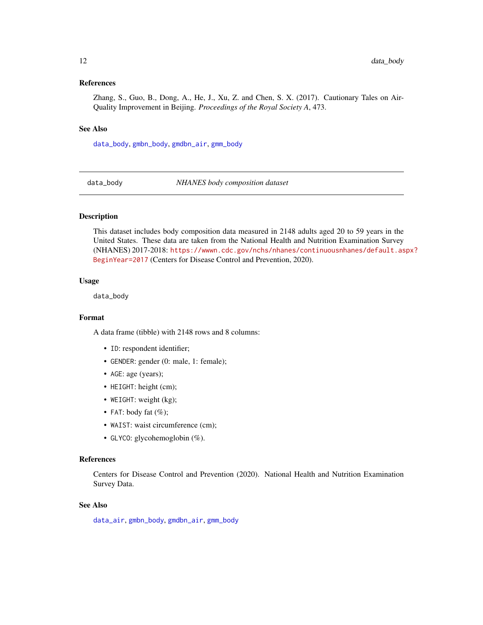### <span id="page-11-0"></span>References

Zhang, S., Guo, B., Dong, A., He, J., Xu, Z. and Chen, S. X. (2017). Cautionary Tales on Air-Quality Improvement in Beijing. *Proceedings of the Royal Society A*, 473.

### See Also

[data\\_body](#page-11-1), [gmbn\\_body](#page-19-1), [gmdbn\\_air](#page-22-2), [gmm\\_body](#page-24-2)

<span id="page-11-1"></span>data\_body *NHANES body composition dataset*

# **Description**

This dataset includes body composition data measured in 2148 adults aged 20 to 59 years in the United States. These data are taken from the National Health and Nutrition Examination Survey (NHANES) 2017-2018: [https://wwwn.cdc.gov/nchs/nhanes/continuousnhanes/default.as](https://wwwn.cdc.gov/nchs/nhanes/continuousnhanes/default.aspx?BeginYear=2017)px? [BeginYear=2017](https://wwwn.cdc.gov/nchs/nhanes/continuousnhanes/default.aspx?BeginYear=2017) (Centers for Disease Control and Prevention, 2020).

### Usage

data\_body

# Format

A data frame (tibble) with 2148 rows and 8 columns:

- ID: respondent identifier;
- GENDER: gender (0: male, 1: female);
- AGE: age (years);
- HEIGHT: height (cm);
- WEIGHT: weight (kg);
- FAT: body fat  $(\%);$
- WAIST: waist circumference (cm);
- GLYCO: glycohemoglobin (%).

### References

Centers for Disease Control and Prevention (2020). National Health and Nutrition Examination Survey Data.

# See Also

[data\\_air](#page-10-1), [gmbn\\_body](#page-19-1), [gmdbn\\_air](#page-22-2), [gmm\\_body](#page-24-2)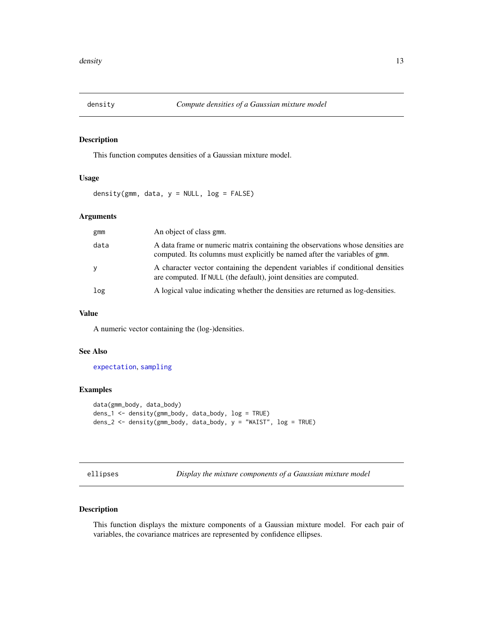<span id="page-12-2"></span><span id="page-12-0"></span>

# Description

This function computes densities of a Gaussian mixture model.

# Usage

density(gmm, data,  $y = NULL$ ,  $log = FALSE$ )

# Arguments

| gmm  | An object of class gmm.                                                                                                                                      |
|------|--------------------------------------------------------------------------------------------------------------------------------------------------------------|
| data | A data frame or numeric matrix containing the observations whose densities are<br>computed. Its columns must explicitly be named after the variables of gmm. |
| y    | A character vector containing the dependent variables if conditional densities<br>are computed. If NULL (the default), joint densities are computed.         |
| log  | A logical value indicating whether the densities are returned as log-densities.                                                                              |

# Value

A numeric vector containing the (log-)densities.

# See Also

[expectation](#page-15-1), [sampling](#page-44-1)

# Examples

```
data(gmm_body, data_body)
dens_1 <- density(gmm_body, data_body, log = TRUE)
dens_2 <- density(gmm_body, data_body, y = "WAIST", log = TRUE)
```
<span id="page-12-1"></span>

|  |  | ellipses |  |
|--|--|----------|--|
|  |  |          |  |
|  |  |          |  |
|  |  |          |  |

Display the mixture components of a Gaussian mixture model

# Description

This function displays the mixture components of a Gaussian mixture model. For each pair of variables, the covariance matrices are represented by confidence ellipses.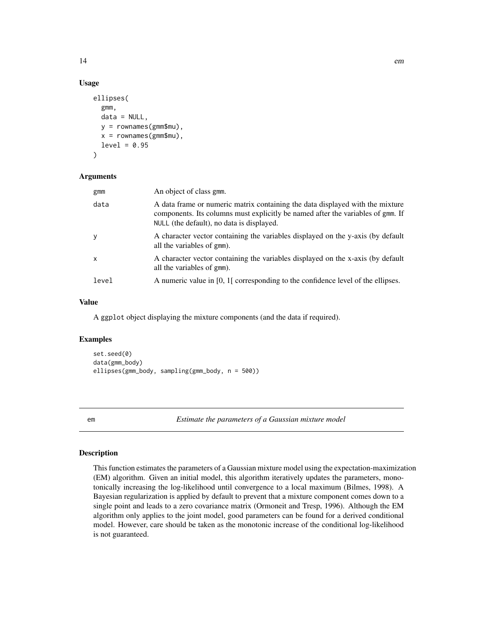# Usage

```
ellipses(
  gmm,
  data = NULL,y = rownames(gmm$mu),
  x = \text{rownames}(\text{gmm$}mu),
  level = 0.95)
```
### Arguments

| gmm          | An object of class gmm.                                                                                                                                                                                       |
|--------------|---------------------------------------------------------------------------------------------------------------------------------------------------------------------------------------------------------------|
| data         | A data frame or numeric matrix containing the data displayed with the mixture<br>components. Its columns must explicitly be named after the variables of gmm. If<br>NULL (the default), no data is displayed. |
| y            | A character vector containing the variables displayed on the y-axis (by default<br>all the variables of gmm).                                                                                                 |
| $\mathsf{x}$ | A character vector containing the variables displayed on the x-axis (by default<br>all the variables of gmm).                                                                                                 |
| level        | A numeric value in $[0, 1]$ corresponding to the confidence level of the ellipses.                                                                                                                            |

# Value

A ggplot object displaying the mixture components (and the data if required).

# Examples

```
set.seed(0)
data(gmm_body)
ellipses(gmm_body, sampling(gmm_body, n = 500))
```
<span id="page-13-1"></span>em *Estimate the parameters of a Gaussian mixture model*

### Description

This function estimates the parameters of a Gaussian mixture model using the expectation-maximization (EM) algorithm. Given an initial model, this algorithm iteratively updates the parameters, monotonically increasing the log-likelihood until convergence to a local maximum (Bilmes, 1998). A Bayesian regularization is applied by default to prevent that a mixture component comes down to a single point and leads to a zero covariance matrix (Ormoneit and Tresp, 1996). Although the EM algorithm only applies to the joint model, good parameters can be found for a derived conditional model. However, care should be taken as the monotonic increase of the conditional log-likelihood is not guaranteed.

<span id="page-13-0"></span>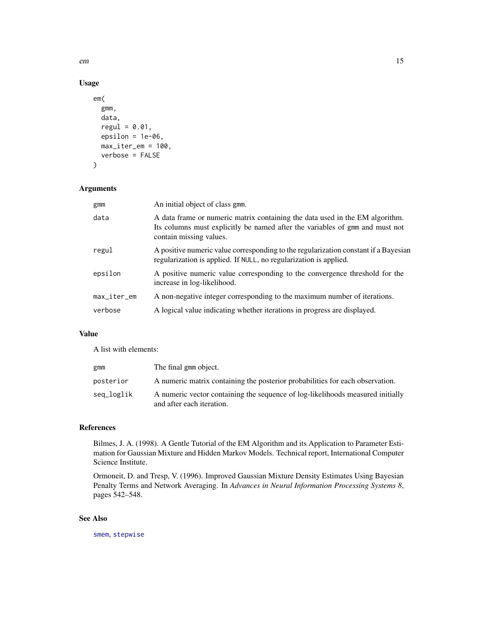# Usage

```
em(
  gmm,
  data,
  regul = 0.01,epsilon = 1e-06,
 max_iter_em = 100,
 verbose = FALSE
)
```
# Arguments

| An initial object of class gmm.                                                                                                                                                         |
|-----------------------------------------------------------------------------------------------------------------------------------------------------------------------------------------|
| A data frame or numeric matrix containing the data used in the EM algorithm.<br>Its columns must explicitly be named after the variables of gmm and must not<br>contain missing values. |
| A positive numeric value corresponding to the regularization constant if a Bayesian<br>regularization is applied. If NULL, no regularization is applied.                                |
| A positive numeric value corresponding to the convergence threshold for the<br>increase in log-likelihood.                                                                              |
| A non-negative integer corresponding to the maximum number of iterations.                                                                                                               |
| A logical value indicating whether iterations in progress are displayed.                                                                                                                |
|                                                                                                                                                                                         |

# Value

A list with elements:

| gmm        | The final gmm object.                                                                                       |
|------------|-------------------------------------------------------------------------------------------------------------|
| posterior  | A numeric matrix containing the posterior probabilities for each observation.                               |
| seq_loglik | A numeric vector containing the sequence of log-likelihoods measured initially<br>and after each iteration. |

# References

Bilmes, J. A. (1998). A Gentle Tutorial of the EM Algorithm and its Application to Parameter Estimation for Gaussian Mixture and Hidden Markov Models. Technical report, International Computer Science Institute.

Ormoneit, D. and Tresp, V. (1996). Improved Gaussian Mixture Density Estimates Using Bayesian Penalty Terms and Network Averaging. In *Advances in Neural Information Processing Systems 8*, pages 542–548.

# See Also

[smem](#page-45-1), [stepwise](#page-49-1)

<span id="page-14-0"></span>em and the state of the state of the state of the state of the state of the state of the state of the state of the state of the state of the state of the state of the state of the state of the state of the state of the sta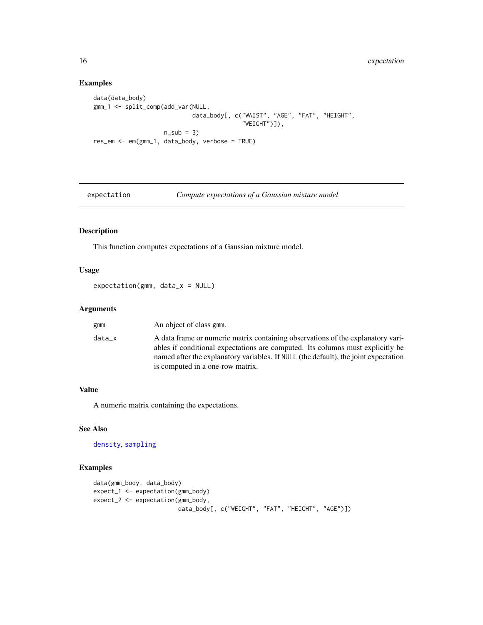# Examples

```
data(data_body)
gmm_1 <- split_comp(add_var(NULL,
                            data_body[, c("WAIST", "AGE", "FAT", "HEIGHT",
                                          "WEIGHT")]),
                    n\_sub = 3)res_em <- em(gmm_1, data_body, verbose = TRUE)
```
<span id="page-15-1"></span>expectation *Compute expectations of a Gaussian mixture model*

# Description

This function computes expectations of a Gaussian mixture model.

# Usage

expectation(gmm, data\_x = NULL)

### Arguments

| gmm    | An object of class gmm.                                                                                                                                                                                                                                                                      |
|--------|----------------------------------------------------------------------------------------------------------------------------------------------------------------------------------------------------------------------------------------------------------------------------------------------|
| data_x | A data frame or numeric matrix containing observations of the explanatory vari-<br>ables if conditional expectations are computed. Its columns must explicitly be<br>named after the explanatory variables. If NULL (the default), the joint expectation<br>is computed in a one-row matrix. |

# Value

A numeric matrix containing the expectations.

# See Also

[density](#page-12-2), [sampling](#page-44-1)

```
data(gmm_body, data_body)
expect_1 <- expectation(gmm_body)
expect_2 <- expectation(gmm_body,
                       data_body[, c("WEIGHT", "FAT", "HEIGHT", "AGE")])
```
<span id="page-15-0"></span>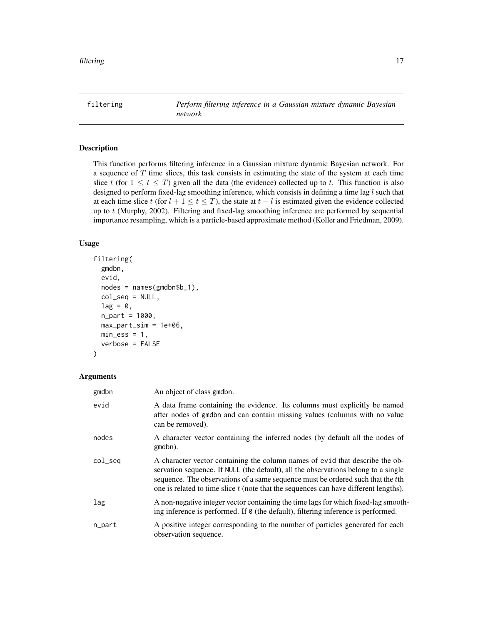<span id="page-16-1"></span><span id="page-16-0"></span>filtering *Perform filtering inference in a Gaussian mixture dynamic Bayesian network*

# Description

This function performs filtering inference in a Gaussian mixture dynamic Bayesian network. For a sequence of  $T$  time slices, this task consists in estimating the state of the system at each time slice t (for  $1 \le t \le T$ ) given all the data (the evidence) collected up to t. This function is also designed to perform fixed-lag smoothing inference, which consists in defining a time lag l such that at each time slice t (for  $l + 1 \le t \le T$ ), the state at  $t - l$  is estimated given the evidence collected up to  $t$  (Murphy, 2002). Filtering and fixed-lag smoothing inference are performed by sequential importance resampling, which is a particle-based approximate method (Koller and Friedman, 2009).

# Usage

```
filtering(
  gmdbn,
  evid,
  nodes = names(gmdbn$b_1),
  col\_seq = NULL,lag = 0,
  n_part = 1000,
  max_part_sim = 1e+06,
 min\_ess = 1,
  verbose = FALSE
)
```
# **Arguments**

| gmdbn   | An object of class gmdbn.                                                                                                                                                                                                                                                                                                                     |
|---------|-----------------------------------------------------------------------------------------------------------------------------------------------------------------------------------------------------------------------------------------------------------------------------------------------------------------------------------------------|
| evid    | A data frame containing the evidence. Its columns must explicitly be named<br>after nodes of gmdbn and can contain missing values (columns with no value<br>can be removed).                                                                                                                                                                  |
| nodes   | A character vector containing the inferred nodes (by default all the nodes of<br>gmdbn).                                                                                                                                                                                                                                                      |
| col_seq | A character vector containing the column names of evid that describe the ob-<br>servation sequence. If NULL (the default), all the observations belong to a single<br>sequence. The observations of a same sequence must be ordered such that the tth<br>one is related to time slice t (note that the sequences can have different lengths). |
| lag     | A non-negative integer vector containing the time lags for which fixed-lag smooth-<br>ing inference is performed. If $\theta$ (the default), filtering inference is performed.                                                                                                                                                                |
| n_part  | A positive integer corresponding to the number of particles generated for each<br>observation sequence.                                                                                                                                                                                                                                       |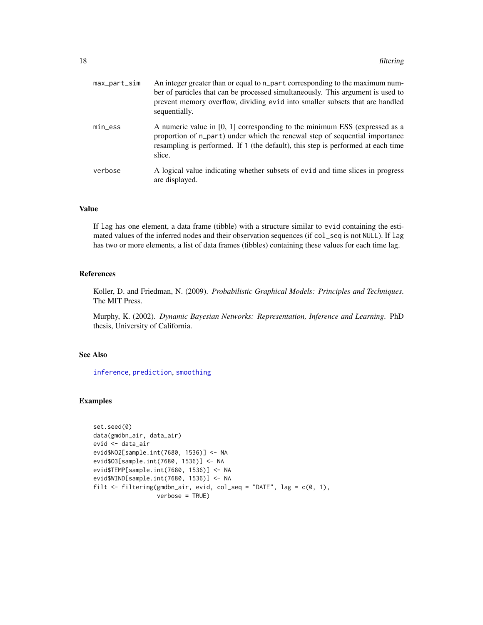<span id="page-17-0"></span>

| max_part_sim | An integer greater than or equal to n_part corresponding to the maximum num-<br>ber of particles that can be processed simultaneously. This argument is used to<br>prevent memory overflow, dividing evid into smaller subsets that are handled<br>sequentially. |
|--------------|------------------------------------------------------------------------------------------------------------------------------------------------------------------------------------------------------------------------------------------------------------------|
| $min\_ess$   | A numeric value in $[0, 1]$ corresponding to the minimum ESS (expressed as a<br>proportion of n_part) under which the renewal step of sequential importance<br>resampling is performed. If 1 (the default), this step is performed at each time<br>slice.        |
| verbose      | A logical value indicating whether subsets of evid and time slices in progress<br>are displayed.                                                                                                                                                                 |

# Value

If lag has one element, a data frame (tibble) with a structure similar to evid containing the estimated values of the inferred nodes and their observation sequences (if col\_seq is not NULL). If lag has two or more elements, a list of data frames (tibbles) containing these values for each time lag.

# References

Koller, D. and Friedman, N. (2009). *Probabilistic Graphical Models: Principles and Techniques*. The MIT Press.

Murphy, K. (2002). *Dynamic Bayesian Networks: Representation, Inference and Learning*. PhD thesis, University of California.

# See Also

[inference](#page-24-1), [prediction](#page-35-1), [smoothing](#page-47-1)

```
set.seed(0)
data(gmdbn_air, data_air)
evid <- data_air
evid$NO2[sample.int(7680, 1536)] <- NA
evid$O3[sample.int(7680, 1536)] <- NA
evid$TEMP[sample.int(7680, 1536)] <- NA
evid$WIND[sample.int(7680, 1536)] <- NA
filt <- filtering(gmdbn_air, evid, col_seq = "DATE", lag = c(0, 1),
                  verbose = TRUE)
```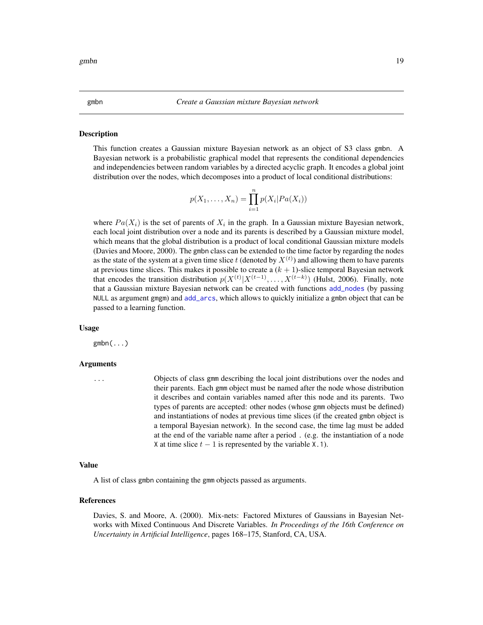#### Description

This function creates a Gaussian mixture Bayesian network as an object of S3 class gmbn. A Bayesian network is a probabilistic graphical model that represents the conditional dependencies and independencies between random variables by a directed acyclic graph. It encodes a global joint distribution over the nodes, which decomposes into a product of local conditional distributions:

<span id="page-18-1"></span><span id="page-18-0"></span>gmbn *Create a Gaussian mixture Bayesian network*

$$
p(X_1,\ldots,X_n)=\prod_{i=1}^n p(X_i|Pa(X_i))
$$

where  $Pa(X_i)$  is the set of parents of  $X_i$  in the graph. In a Gaussian mixture Bayesian network, each local joint distribution over a node and its parents is described by a Gaussian mixture model, which means that the global distribution is a product of local conditional Gaussian mixture models (Davies and Moore, 2000). The gmbn class can be extended to the time factor by regarding the nodes as the state of the system at a given time slice  $t$  (denoted by  $X^{(t)}$ ) and allowing them to have parents at previous time slices. This makes it possible to create a  $(k + 1)$ -slice temporal Bayesian network that encodes the transition distribution  $p(X^{(t)}|X^{(t-1)}, \ldots, X^{(t-k)})$  (Hulst, 2006). Finally, note that a Gaussian mixture Bayesian network can be created with functions [add\\_nodes](#page-3-1) (by passing NULL as argument gmgm) and [add\\_arcs](#page-2-1), which allows to quickly initialize a gmbn object that can be passed to a learning function.

### Usage

 $gmbn(...)$ 

### Arguments

... Objects of class gmm describing the local joint distributions over the nodes and their parents. Each gmm object must be named after the node whose distribution it describes and contain variables named after this node and its parents. Two types of parents are accepted: other nodes (whose gmm objects must be defined) and instantiations of nodes at previous time slices (if the created gmbn object is a temporal Bayesian network). In the second case, the time lag must be added at the end of the variable name after a period . (e.g. the instantiation of a node X at time slice  $t - 1$  is represented by the variable X.1).

#### Value

A list of class gmbn containing the gmm objects passed as arguments.

#### References

Davies, S. and Moore, A. (2000). Mix-nets: Factored Mixtures of Gaussians in Bayesian Networks with Mixed Continuous And Discrete Variables. *In Proceedings of the 16th Conference on Uncertainty in Artificial Intelligence*, pages 168–175, Stanford, CA, USA.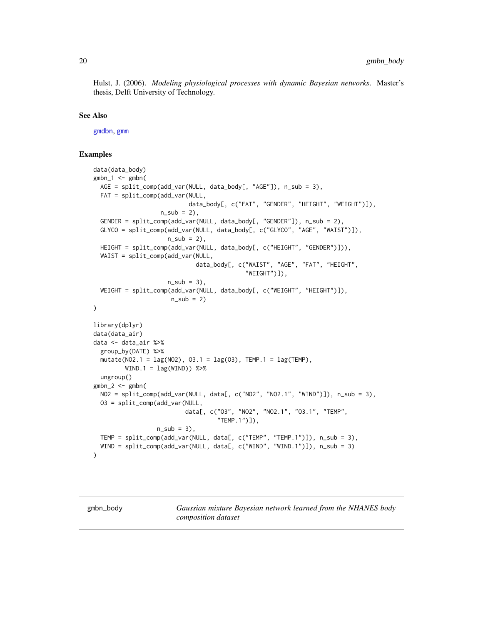<span id="page-19-0"></span>Hulst, J. (2006). *Modeling physiological processes with dynamic Bayesian networks*. Master's thesis, Delft University of Technology.

### See Also

[gmdbn](#page-20-1), [gmm](#page-22-1)

# Examples

```
data(data_body)
gmbn_1 < - gmbn(
 AGE = split_comp(add_var(NULL, data_body[, "AGE"]), n_sub = 3),
 FAT = split_comp(add_var(NULL,
                           data_body[, c("FAT", "GENDER", "HEIGHT", "WEIGHT")]),
                   n_sub = 2),
 GENDER = split_comp(add_var(NULL, data_body[, "GENDER"]), n_sub = 2),
 GLYCO = split_comp(add_var(NULL, data_body[, c("GLYCO", "AGE", "WAIST")]),
                     n\_sub = 2,
 HEIGHT = split_comp(add_var(NULL, data_body[, c("HEIGHT", "GENDER")])),
 WAIST = split_comp(add_var(NULL,
                              data_body[, c("WAIST", "AGE", "FAT", "HEIGHT",
                                            "WEIGHT")]),
                     n\_sub = 3,
 WEIGHT = split_comp(add_var(NULL, data_body[, c("WEIGHT", "HEIGHT")]),
                      n\_sub = 2)\mathcal{L}library(dplyr)
data(data_air)
data <- data_air %>%
 group_by(DATE) %>%
 mutate(NO2.1 = lag(NO2), O3.1 = lag(O3), TEMP.1 = lag(TEMP),WIND.1 = \text{lag}(WIND) %>%
 ungroup()
gmbn_2 < - gmbn(
 NO2 = split_comp(add_var(NULL, data[, c("NO2", "NO2.1", "WIND")]), n_sub = 3),
 O3 = split_comp(add_var(NULL,
                          data[, c("O3", "NO2", "NO2.1", "O3.1", "TEMP",
                                    "TEMP.1")]),
                  n\_sub = 3,
 TEMP = split_comp(add_var(NULL, data[, c("TEMP", "TEMP.1")]), n_sub = 3),
 WIND = split_comp(add_var(NULL, data[, c("WIND", "WIND.1")]), n_sub = 3)
\lambda
```
<span id="page-19-1"></span>gmbn\_body *Gaussian mixture Bayesian network learned from the NHANES body composition dataset*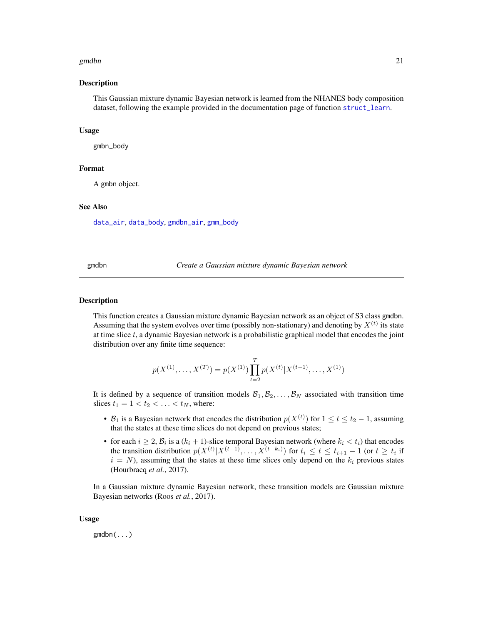### <span id="page-20-0"></span>gmdbn 21

### Description

This Gaussian mixture dynamic Bayesian network is learned from the NHANES body composition dataset, following the example provided in the documentation page of function [struct\\_learn](#page-54-1).

#### Usage

gmbn\_body

### Format

A gmbn object.

### See Also

[data\\_air](#page-10-1), [data\\_body](#page-11-1), [gmdbn\\_air](#page-22-2), [gmm\\_body](#page-24-2)

<span id="page-20-1"></span>gmdbn *Create a Gaussian mixture dynamic Bayesian network*

### **Description**

This function creates a Gaussian mixture dynamic Bayesian network as an object of S3 class gmdbn. Assuming that the system evolves over time (possibly non-stationary) and denoting by  $X^{(t)}$  its state at time slice  $t$ , a dynamic Bayesian network is a probabilistic graphical model that encodes the joint distribution over any finite time sequence:

$$
p(X^{(1)},...,X^{(T)}) = p(X^{(1)}) \prod_{t=2}^{T} p(X^{(t)} | X^{(t-1)},...,X^{(1)})
$$

It is defined by a sequence of transition models  $B_1, B_2, \ldots, B_N$  associated with transition time slices  $t_1 = 1 < t_2 < \ldots < t_N$ , where:

- $B_1$  is a Bayesian network that encodes the distribution  $p(X^{(t)})$  for  $1 \le t \le t_2 1$ , assuming that the states at these time slices do not depend on previous states;
- for each  $i \geq 2$ ,  $\mathcal{B}_i$  is a  $(k_i + 1)$ -slice temporal Bayesian network (where  $k_i < t_i$ ) that encodes the transition distribution  $p(X^{(t)}|X^{(t-1)},...,X^{(t-k_i)})$  for  $t_i \le t \le t_{i+1} - 1$  (or  $t \ge t_i$  if  $i = N$ ), assuming that the states at these time slices only depend on the  $k_i$  previous states (Hourbracq *et al.*, 2017).

In a Gaussian mixture dynamic Bayesian network, these transition models are Gaussian mixture Bayesian networks (Roos *et al.*, 2017).

### Usage

gmdbn(...)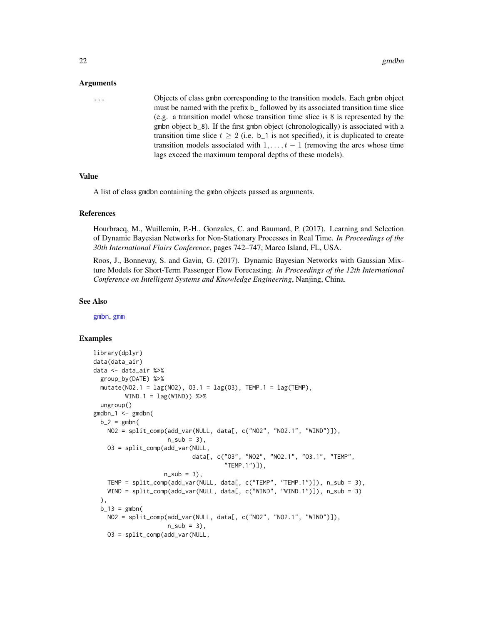#### <span id="page-21-0"></span>Arguments

... Objects of class gmbn corresponding to the transition models. Each gmbn object must be named with the prefix b\_ followed by its associated transition time slice (e.g. a transition model whose transition time slice is 8 is represented by the gmbn object b\_8). If the first gmbn object (chronologically) is associated with a transition time slice  $t \geq 2$  (i.e. b<sub>-1</sub> is not specified), it is duplicated to create transition models associated with  $1, \ldots, t-1$  (removing the arcs whose time lags exceed the maximum temporal depths of these models).

### Value

A list of class gmdbn containing the gmbn objects passed as arguments.

### References

Hourbracq, M., Wuillemin, P.-H., Gonzales, C. and Baumard, P. (2017). Learning and Selection of Dynamic Bayesian Networks for Non-Stationary Processes in Real Time. *In Proceedings of the 30th International Flairs Conference*, pages 742–747, Marco Island, FL, USA.

Roos, J., Bonnevay, S. and Gavin, G. (2017). Dynamic Bayesian Networks with Gaussian Mixture Models for Short-Term Passenger Flow Forecasting. *In Proceedings of the 12th International Conference on Intelligent Systems and Knowledge Engineering*, Nanjing, China.

#### See Also

[gmbn](#page-18-1), [gmm](#page-22-1)

```
library(dplyr)
data(data_air)
data <- data_air %>%
 group_by(DATE) %>%
 mutate(NO2.1 = lag(NO2), O3.1 = lag(O3), TEMP.1 = lag(TEMP),WIND.1 = \text{lag}(WIND) %>%
 ungroup()
gmdbn_1 <- gmdbn(
 b_2 = gmbnNO2 = split_comp(add_var(NULL, data[, c("NO2", "NO2.1", "WIND")]),
                     n\_sub = 3,
    O3 = split_comp(add_var(NULL,
                            data[, c("O3", "NO2", "NO2.1", "O3.1", "TEMP",
                                     "TEMP.1")]),
                    n\_sub = 3,
   TEMP = split_comp(add_var(NULL, data[, c("TEMP", "TEMP.1")]), n_sub = 3),
   WIND = split_comp(add_var(NULL, data[, c("WIND", "WIND.1")]), n_sub = 3)
 ),
 b_{13} = gmbn(NO2 = split_comp(add_var(NULL, data[, c("NO2", "NO2.1", "WIND")]),
                     n\_sub = 3,
   O3 = split_comp(add_var(NULL,
```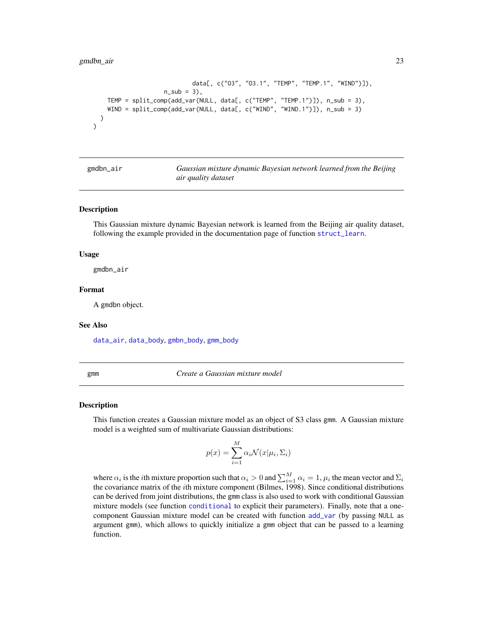```
data[, c("O3", "O3.1", "TEMP", "TEMP.1", "WIND")]),
                      n\_sub = 3,
    TEMP = split_comp(add_var(NULL, data[, c("TEMP", "TEMP.1")]), n_sub = 3),
    WIND = split\_comp(add\_var(NULL, data[, c("WIND", "WIND.1"))], n\_sub = 3))
\overline{\phantom{a}}
```
<span id="page-22-2"></span>

| gmdbn_air |  |
|-----------|--|
|           |  |
|           |  |
|           |  |

Gaussian mixture dynamic Bayesian network learned from the Beijing *air quality dataset*

# Description

This Gaussian mixture dynamic Bayesian network is learned from the Beijing air quality dataset, following the example provided in the documentation page of function [struct\\_learn](#page-54-1).

### Usage

gmdbn\_air

### Format

A gmdbn object.

### See Also

[data\\_air](#page-10-1), [data\\_body](#page-11-1), [gmbn\\_body](#page-19-1), [gmm\\_body](#page-24-2)

<span id="page-22-1"></span>gmm *Create a Gaussian mixture model*

#### Description

This function creates a Gaussian mixture model as an object of S3 class gmm. A Gaussian mixture model is a weighted sum of multivariate Gaussian distributions:

$$
p(x) = \sum_{i=1}^{M} \alpha_i \mathcal{N}(x | \mu_i, \Sigma_i)
$$

where  $\alpha_i$  is the *i*th mixture proportion such that  $\alpha_i > 0$  and  $\sum_{i=1}^M \alpha_i = 1$ ,  $\mu_i$  the mean vector and  $\Sigma_i$ the covariance matrix of the ith mixture component (Bilmes, 1998). Since conditional distributions can be derived from joint distributions, the gmm class is also used to work with conditional Gaussian mixture models (see function [conditional](#page-9-1) to explicit their parameters). Finally, note that a onecomponent Gaussian mixture model can be created with function [add\\_var](#page-4-1) (by passing NULL as argument gmm), which allows to quickly initialize a gmm object that can be passed to a learning function.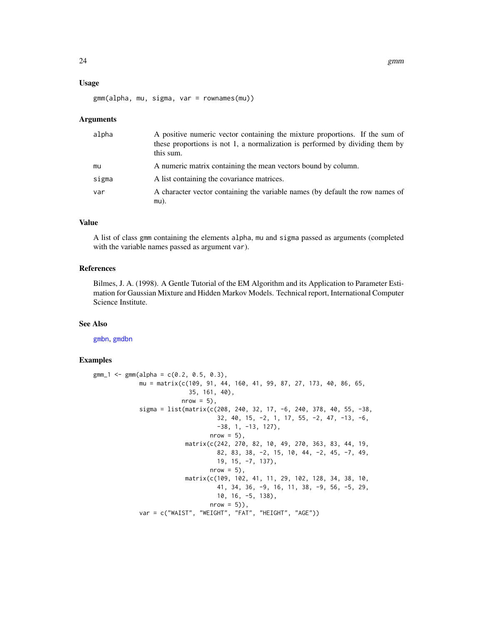### <span id="page-23-0"></span>Usage

gmm(alpha, mu, sigma, var = rownames(mu))

### Arguments

| alpha | A positive numeric vector containing the mixture proportions. If the sum of<br>these proportions is not 1, a normalization is performed by dividing them by<br>this sum. |
|-------|--------------------------------------------------------------------------------------------------------------------------------------------------------------------------|
| mu    | A numeric matrix containing the mean vectors bound by column.                                                                                                            |
| sigma | A list containing the covariance matrices.                                                                                                                               |
| var   | A character vector containing the variable names (by default the row names of                                                                                            |
|       | $mu)$ .                                                                                                                                                                  |

# Value

A list of class gmm containing the elements alpha, mu and sigma passed as arguments (completed with the variable names passed as argument var).

### References

Bilmes, J. A. (1998). A Gentle Tutorial of the EM Algorithm and its Application to Parameter Estimation for Gaussian Mixture and Hidden Markov Models. Technical report, International Computer Science Institute.

# See Also

[gmbn](#page-18-1), [gmdbn](#page-20-1)

```
gmm_1 <- gmm(alpha = c(0.2, 0.5, 0.3),
            mu = matrix(c(109, 91, 44, 160, 41, 99, 87, 27, 173, 40, 86, 65,
                           35, 161, 40),
                         nrow = 5),
             sigma = list(matrix(c(208, 240, 32, 17, -6, 240, 378, 40, 55, -38,
                                   32, 40, 15, -2, 1, 17, 55, -2, 47, -13, -6,
                                   -38, 1, -13, 127),
                                 nrow = 5),
                          matrix(c(242, 270, 82, 10, 49, 270, 363, 83, 44, 19,
                                   82, 83, 38, -2, 15, 10, 44, -2, 45, -7, 49,
                                   19, 15, -7, 137),
                                 nrow = 5),
                          matrix(c(109, 102, 41, 11, 29, 102, 128, 34, 38, 10,
                                   41, 34, 36, -9, 16, 11, 38, -9, 56, -5, 29,
                                   10, 16, -5, 138),
                                 nrow = 5),
             var = c("WAIST", "WEIGHT", "FAT", "HEIGHT", "AGE"))
```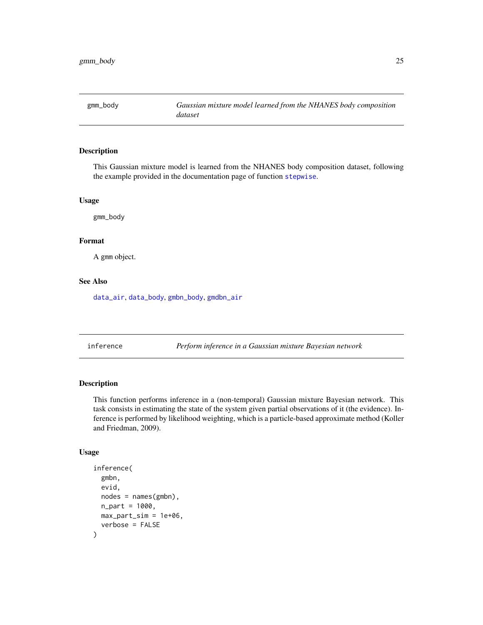<span id="page-24-2"></span><span id="page-24-0"></span>

# Description

This Gaussian mixture model is learned from the NHANES body composition dataset, following the example provided in the documentation page of function [stepwise](#page-49-1).

# Usage

gmm\_body

### Format

A gmm object.

# See Also

[data\\_air](#page-10-1), [data\\_body](#page-11-1), [gmbn\\_body](#page-19-1), [gmdbn\\_air](#page-22-2)

<span id="page-24-1"></span>inference *Perform inference in a Gaussian mixture Bayesian network*

# Description

This function performs inference in a (non-temporal) Gaussian mixture Bayesian network. This task consists in estimating the state of the system given partial observations of it (the evidence). Inference is performed by likelihood weighting, which is a particle-based approximate method (Koller and Friedman, 2009).

# Usage

```
inference(
  gmbn,
  evid,
 nodes = names(gmbn),n_{part} = 1000,max_part_sim = 1e+06,
  verbose = FALSE
)
```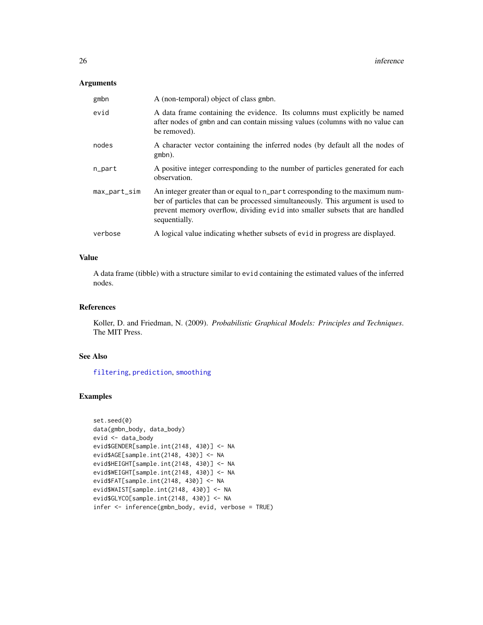# <span id="page-25-0"></span>Arguments

| gmbn         | A (non-temporal) object of class gmbn.                                                                                                                                                                                                                           |
|--------------|------------------------------------------------------------------------------------------------------------------------------------------------------------------------------------------------------------------------------------------------------------------|
| evid         | A data frame containing the evidence. Its columns must explicitly be named<br>after nodes of gmbn and can contain missing values (columns with no value can<br>be removed).                                                                                      |
| nodes        | A character vector containing the inferred nodes (by default all the nodes of<br>gmbn).                                                                                                                                                                          |
| n_part       | A positive integer corresponding to the number of particles generated for each<br>observation.                                                                                                                                                                   |
| max_part_sim | An integer greater than or equal to n_part corresponding to the maximum num-<br>ber of particles that can be processed simultaneously. This argument is used to<br>prevent memory overflow, dividing evid into smaller subsets that are handled<br>sequentially. |
| verbose      | A logical value indicating whether subsets of evid in progress are displayed.                                                                                                                                                                                    |

# Value

A data frame (tibble) with a structure similar to evid containing the estimated values of the inferred nodes.

# References

Koller, D. and Friedman, N. (2009). *Probabilistic Graphical Models: Principles and Techniques*. The MIT Press.

# See Also

[filtering](#page-16-1), [prediction](#page-35-1), [smoothing](#page-47-1)

```
set.seed(0)
data(gmbn_body, data_body)
evid <- data_body
evid$GENDER[sample.int(2148, 430)] <- NA
evid$AGE[sample.int(2148, 430)] <- NA
evid$HEIGHT[sample.int(2148, 430)] <- NA
evid$WEIGHT[sample.int(2148, 430)] <- NA
evid$FAT[sample.int(2148, 430)] <- NA
evid$WAIST[sample.int(2148, 430)] <- NA
evid$GLYCO[sample.int(2148, 430)] <- NA
infer <- inference(gmbn_body, evid, verbose = TRUE)
```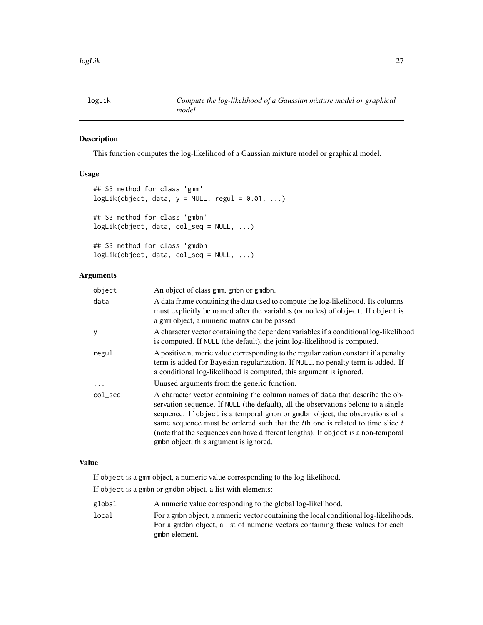<span id="page-26-2"></span><span id="page-26-0"></span>

# <span id="page-26-1"></span>Description

This function computes the log-likelihood of a Gaussian mixture model or graphical model.

# Usage

```
## S3 method for class 'gmm'
logLik(object, data, y = NULL, regular = 0.01, ...)## S3 method for class 'gmbn'
logLik(object, data, col_seq = NULL, ...)
## S3 method for class 'gmdbn'
logLik(object, data, col_seq = NULL, ...)
```
# Arguments

| object   | An object of class gmm, gmbn or gmdbn.                                                                                                                                                                                                                                                                                                                                                                                                                                    |
|----------|---------------------------------------------------------------------------------------------------------------------------------------------------------------------------------------------------------------------------------------------------------------------------------------------------------------------------------------------------------------------------------------------------------------------------------------------------------------------------|
| data     | A data frame containing the data used to compute the log-likelihood. Its columns<br>must explicitly be named after the variables (or nodes) of object. If object is<br>a gmm object, a numeric matrix can be passed.                                                                                                                                                                                                                                                      |
| у        | A character vector containing the dependent variables if a conditional log-likelihood<br>is computed. If NULL (the default), the joint log-likelihood is computed.                                                                                                                                                                                                                                                                                                        |
| regul    | A positive numeric value corresponding to the regularization constant if a penalty<br>term is added for Bayesian regularization. If NULL, no penalty term is added. If<br>a conditional log-likelihood is computed, this argument is ignored.                                                                                                                                                                                                                             |
| $\cdots$ | Unused arguments from the generic function.                                                                                                                                                                                                                                                                                                                                                                                                                               |
| col_seq  | A character vector containing the column names of data that describe the ob-<br>servation sequence. If NULL (the default), all the observations belong to a single<br>sequence. If object is a temporal gmbn or gmdbn object, the observations of a<br>same sequence must be ordered such that the $t$ th one is related to time slice $t$<br>(note that the sequences can have different lengths). If object is a non-temporal<br>gmbn object, this argument is ignored. |

### Value

If object is a gmm object, a numeric value corresponding to the log-likelihood.

If object is a gmbn or gmdbn object, a list with elements:

- global A numeric value corresponding to the global log-likelihood.
- local For a gmbn object, a numeric vector containing the local conditional log-likelihoods. For a gmdbn object, a list of numeric vectors containing these values for each gmbn element.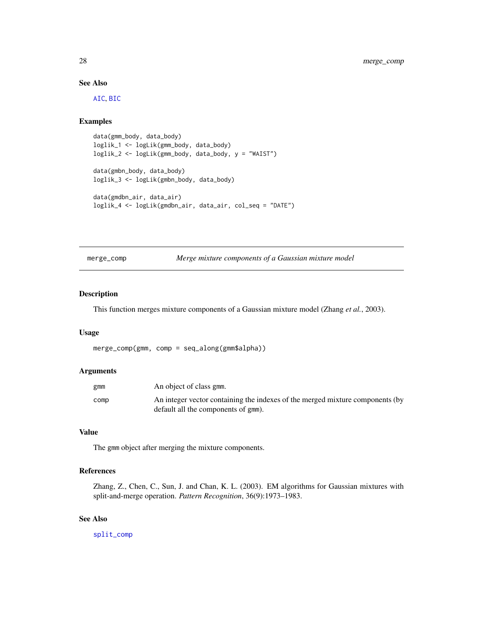# See Also

[AIC](#page-6-2), [BIC](#page-8-2)

# Examples

```
data(gmm_body, data_body)
loglik_1 <- logLik(gmm_body, data_body)
loglik_2 <- logLik(gmm_body, data_body, y = "WAIST")
data(gmbn_body, data_body)
loglik_3 <- logLik(gmbn_body, data_body)
data(gmdbn_air, data_air)
loglik_4 <- logLik(gmdbn_air, data_air, col_seq = "DATE")
```
<span id="page-27-1"></span>merge\_comp *Merge mixture components of a Gaussian mixture model*

### Description

This function merges mixture components of a Gaussian mixture model (Zhang *et al.*, 2003).

### Usage

merge\_comp(gmm, comp = seq\_along(gmm\$alpha))

### Arguments

| gmm  | An object of class gmm.                                                       |
|------|-------------------------------------------------------------------------------|
| comp | An integer vector containing the indexes of the merged mixture components (by |
|      | default all the components of gmm).                                           |

# Value

The gmm object after merging the mixture components.

### References

Zhang, Z., Chen, C., Sun, J. and Chan, K. L. (2003). EM algorithms for Gaussian mixtures with split-and-merge operation. *Pattern Recognition*, 36(9):1973–1983.

# See Also

[split\\_comp](#page-48-1)

<span id="page-27-0"></span>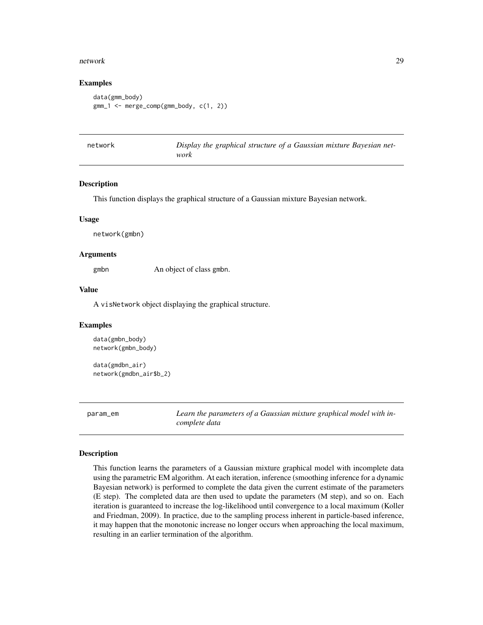### <span id="page-28-0"></span>network 29

### Examples

```
data(gmm_body)
gmm_1 <- merge_comp(gmm_body, c(1, 2))
```
<span id="page-28-1"></span>

| network | Display the graphical structure of a Gaussian mixture Bayesian net- |
|---------|---------------------------------------------------------------------|
|         | work                                                                |

### Description

This function displays the graphical structure of a Gaussian mixture Bayesian network.

### Usage

network(gmbn)

# Arguments

gmbn An object of class gmbn.

### Value

A visNetwork object displaying the graphical structure.

# Examples

```
data(gmbn_body)
network(gmbn_body)
```
data(gmdbn\_air) network(gmdbn\_air\$b\_2)

<span id="page-28-2"></span>param\_em *Learn the parameters of a Gaussian mixture graphical model with incomplete data*

### Description

This function learns the parameters of a Gaussian mixture graphical model with incomplete data using the parametric EM algorithm. At each iteration, inference (smoothing inference for a dynamic Bayesian network) is performed to complete the data given the current estimate of the parameters (E step). The completed data are then used to update the parameters (M step), and so on. Each iteration is guaranteed to increase the log-likelihood until convergence to a local maximum (Koller and Friedman, 2009). In practice, due to the sampling process inherent in particle-based inference, it may happen that the monotonic increase no longer occurs when approaching the local maximum, resulting in an earlier termination of the algorithm.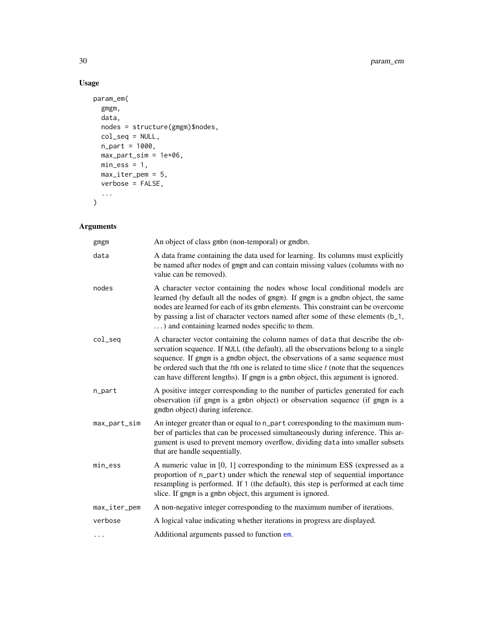# Usage

```
param_em(
 gmgm,
 data,
 nodes = structure(gmgm)$nodes,
 col_seq = NULL,
 n_part = 1000,
 max_part_sim = 1e+06,
 min\_ess = 1,
 max_iter_pem = 5,
 verbose = FALSE,
  ...
)
```
# Arguments

| gmgm         | An object of class gmbn (non-temporal) or gmdbn.                                                                                                                                                                                                                                                                                                                                                                                     |
|--------------|--------------------------------------------------------------------------------------------------------------------------------------------------------------------------------------------------------------------------------------------------------------------------------------------------------------------------------------------------------------------------------------------------------------------------------------|
| data         | A data frame containing the data used for learning. Its columns must explicitly<br>be named after nodes of gmgm and can contain missing values (columns with no<br>value can be removed).                                                                                                                                                                                                                                            |
| nodes        | A character vector containing the nodes whose local conditional models are<br>learned (by default all the nodes of gmgm). If gmgm is a gmdbn object, the same<br>nodes are learned for each of its gmbn elements. This constraint can be overcome<br>by passing a list of character vectors named after some of these elements (b_1,<br>) and containing learned nodes specific to them.                                             |
| $col\_seq$   | A character vector containing the column names of data that describe the ob-<br>servation sequence. If NULL (the default), all the observations belong to a single<br>sequence. If gmgm is a gmdbn object, the observations of a same sequence must<br>be ordered such that the $t$ th one is related to time slice $t$ (note that the sequences<br>can have different lengths). If gmgm is a gmbn object, this argument is ignored. |
| n_part       | A positive integer corresponding to the number of particles generated for each<br>observation (if gmgm is a gmbn object) or observation sequence (if gmgm is a<br>gmdbn object) during inference.                                                                                                                                                                                                                                    |
| max_part_sim | An integer greater than or equal to n_part corresponding to the maximum num-<br>ber of particles that can be processed simultaneously during inference. This ar-<br>gument is used to prevent memory overflow, dividing data into smaller subsets<br>that are handle sequentially.                                                                                                                                                   |
| $min\_ess$   | A numeric value in [0, 1] corresponding to the minimum ESS (expressed as a<br>proportion of n_part) under which the renewal step of sequential importance<br>resampling is performed. If 1 (the default), this step is performed at each time<br>slice. If gmgm is a gmbn object, this argument is ignored.                                                                                                                          |
| max_iter_pem | A non-negative integer corresponding to the maximum number of iterations.                                                                                                                                                                                                                                                                                                                                                            |
| verbose      | A logical value indicating whether iterations in progress are displayed.                                                                                                                                                                                                                                                                                                                                                             |
|              | Additional arguments passed to function em.                                                                                                                                                                                                                                                                                                                                                                                          |

<span id="page-29-0"></span>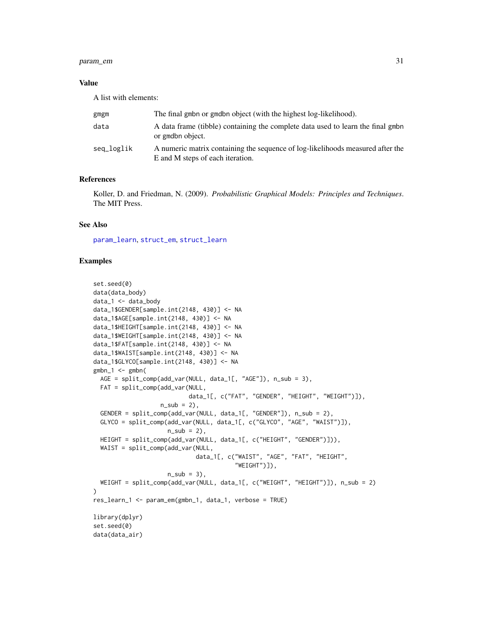# <span id="page-30-0"></span>param\_em 31

# Value

A list with elements:

| gmgm       | The final gmbn or gmdbn object (with the highest log-likelihood).                                                  |
|------------|--------------------------------------------------------------------------------------------------------------------|
| data       | A data frame (tibble) containing the complete data used to learn the final gmbn<br>or gmdbn object.                |
| seq_loglik | A numeric matrix containing the sequence of log-likelihoods measured after the<br>E and M steps of each iteration. |

# References

Koller, D. and Friedman, N. (2009). *Probabilistic Graphical Models: Principles and Techniques*. The MIT Press.

# See Also

[param\\_learn](#page-31-1), [struct\\_em](#page-52-1), [struct\\_learn](#page-54-1)

```
set.seed(0)
data(data_body)
data_1 <- data_body
data_1$GENDER[sample.int(2148, 430)] <- NA
data_1$AGE[sample.int(2148, 430)] <- NA
data_1$HEIGHT[sample.int(2148, 430)] <- NA
data_1$WEIGHT[sample.int(2148, 430)] <- NA
data_1$FAT[sample.int(2148, 430)] <- NA
data_1$WAIST[sample.int(2148, 430)] <- NA
data_1$GLYCO[sample.int(2148, 430)] <- NA
gmbn_1 < - gmbn(
  AGE = split_comp(add_var(NULL, data_1[, "AGE"]), n_sub = 3),
  FAT = split_comp(add_var(NULL,
                           data_1[, c("FAT", "GENDER", "HEIGHT", "WEIGHT")]),
                   n\_sub = 2,
  GENDER = split_comp(add_var(NULL, data_1[, "GENDER"]), n_sub = 2),
  GLYCO = split_comp(add_var(NULL, data_1[, c("GLYCO", "AGE", "WAIST")]),
                     n\_sub = 2,
  HEIGHT = split_comp(add_var(NULL, data_1[, c("HEIGHT", "GENDER")])),
  WAIST = split_comp(add_var(NULL,
                             data_1[, c("WAIST", "AGE", "FAT", "HEIGHT",
                                         "WEIGHT")]),
                     n\_sub = 3,
  WEIGHT = split_comp(add_var(NULL, data_1[, c("WEIGHT", "HEIGHT")]), n_sub = 2)
)
res_learn_1 <- param_em(gmbn_1, data_1, verbose = TRUE)
library(dplyr)
set.seed(0)
data(data_air)
```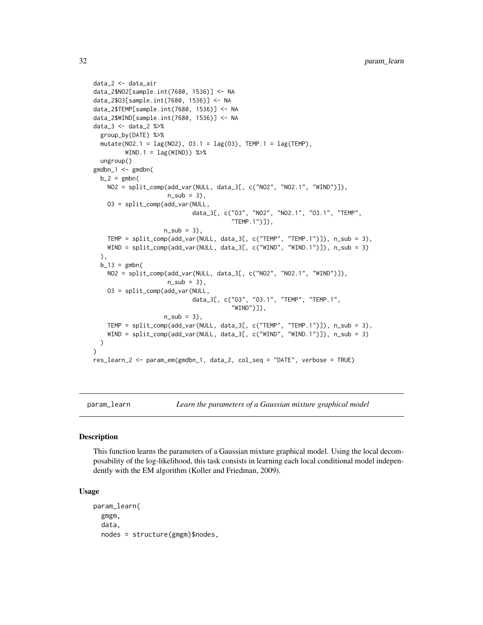```
data_2 <- data_air
data_2$NO2[sample.int(7680, 1536)] <- NA
data_2$O3[sample.int(7680, 1536)] <- NA
data_2$TEMP[sample.int(7680, 1536)] <- NA
data_2$WIND[sample.int(7680, 1536)] <- NA
data_3 <- data_2 %>%
 group_by(DATE) %>%
 mutate(NO2.1 = lag(NO2), O3.1 = lag(O3), TEMP.1 = lag(TEMP),
        WIND.1 = \text{lag}(WIND) %>%
 ungroup()
gmdbn_1 <- gmdbn(
 b_2 = gmbnNO2 = split_comp(add_var(NULL, data_3[, c("NO2", "NO2.1", "WIND")]),
                     n\_sub = 3,
   O3 = split_comp(add_var(NULL,
                            data_3[, c("O3", "NO2", "NO2.1", "O3.1", "TEMP",
                                        "TEMP.1")]),
                    n\_sub = 3,
   TEMP = split_comp(add_var(NULL, data_3[, c("TEMP", "TEMP.1")]), n_sub = 3),
   WIND = split_comp(add_var(NULL, data_3[, c("WIND", "WIND.1")]), n_sub = 3)
 ),
 b_13 = gmbn(NO2 = split_comp(add_var(NULL, data_3[, c("NO2", "NO2.1", "WIND")]),
                     n\_sub = 3,
   O3 = split_comp(add_var(NULL,
                            data_3[, c("O3", "O3.1", "TEMP", "TEMP.1",
                                        "WIND")]),
                    n\_sub = 3,
    TEMP = split_comp(add_var(NULL, data_3[, c("TEMP", "TEMP.1")]), n_sub = 3),
    WIND = split_comp(add_var(NULL, data_3[, c("WIND", "WIND.1")]), n_sub = 3)
 )
\lambdares_learn_2 <- param_em(gmdbn_1, data_2, col_seq = "DATE", verbose = TRUE)
```
<span id="page-31-1"></span>

param\_learn *Learn the parameters of a Gaussian mixture graphical model*

### Description

This function learns the parameters of a Gaussian mixture graphical model. Using the local decomposability of the log-likelihood, this task consists in learning each local conditional model independently with the EM algorithm (Koller and Friedman, 2009).

### Usage

param\_learn( gmgm, data, nodes = structure(gmgm)\$nodes,

<span id="page-31-0"></span>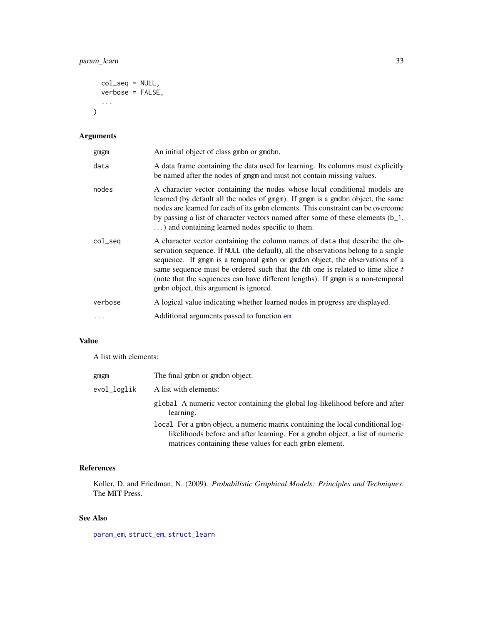```
col_seq = NULL,
  verbose = FALSE,
  ...
\mathcal{L}
```
# Arguments

| gmgm       | An initial object of class gmbn or gmdbn.                                                                                                                                                                                                                                                                                                                                                                                                                             |
|------------|-----------------------------------------------------------------------------------------------------------------------------------------------------------------------------------------------------------------------------------------------------------------------------------------------------------------------------------------------------------------------------------------------------------------------------------------------------------------------|
| data       | A data frame containing the data used for learning. Its columns must explicitly<br>be named after the nodes of gmgm and must not contain missing values.                                                                                                                                                                                                                                                                                                              |
| nodes      | A character vector containing the nodes whose local conditional models are<br>learned (by default all the nodes of gmgm). If gmgm is a gmdbn object, the same<br>nodes are learned for each of its gmbn elements. This constraint can be overcome<br>by passing a list of character vectors named after some of these elements (b_1,<br>) and containing learned nodes specific to them.                                                                              |
| $col\_seq$ | A character vector containing the column names of data that describe the ob-<br>servation sequence. If NULL (the default), all the observations belong to a single<br>sequence. If gmgm is a temporal gmbn or gmdbn object, the observations of a<br>same sequence must be ordered such that the $t$ th one is related to time slice $t$<br>(note that the sequences can have different lengths). If gmgm is a non-temporal<br>gmbn object, this argument is ignored. |
| verbose    | A logical value indicating whether learned nodes in progress are displayed.                                                                                                                                                                                                                                                                                                                                                                                           |
| .          | Additional arguments passed to function em.                                                                                                                                                                                                                                                                                                                                                                                                                           |

# Value

A list with elements:

| gmgm        | The final gmbn or gmdbn object.                                                                                                                                                                                            |
|-------------|----------------------------------------------------------------------------------------------------------------------------------------------------------------------------------------------------------------------------|
| evol_loglik | A list with elements:                                                                                                                                                                                                      |
|             | global A numeric vector containing the global log-likelihood before and after<br>learning.                                                                                                                                 |
|             | local For a gmbn object, a numeric matrix containing the local conditional log-<br>likelihoods before and after learning. For a gmdbn object, a list of numeric<br>matrices containing these values for each gmbn element. |

# References

Koller, D. and Friedman, N. (2009). *Probabilistic Graphical Models: Principles and Techniques*. The MIT Press.

# See Also

[param\\_em](#page-28-2), [struct\\_em](#page-52-1), [struct\\_learn](#page-54-1)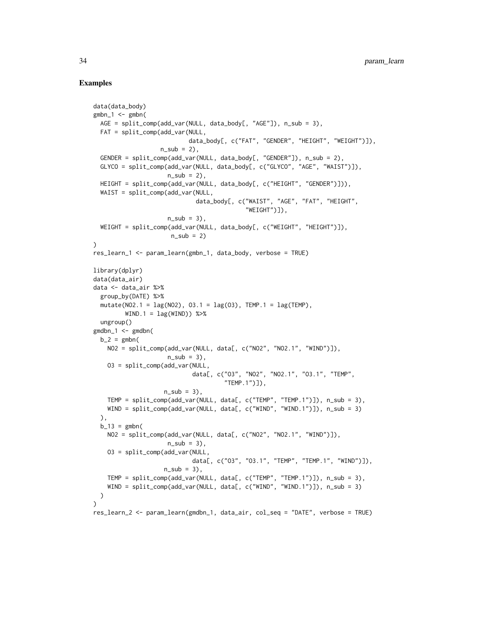```
data(data_body)
gmbn_1 < - gmbn(
  AGE = split\_comp(add\_var(NULL, data_body[, "AGE")), n\_sub = 3),
  FAT = split_comp(add_var(NULL,
                           data_body[, c("FAT", "GENDER", "HEIGHT", "WEIGHT")]),
                   n_sub = 2),
  GENDER = split\_comp(add\_var(NULL, data_body[, "GENDER"]), n\_sub = 2),
  GLYCO = split_comp(add_var(NULL, data_body[, c("GLYCO", "AGE", "WAIST")]),
                     n\_sub = 2,
  HEIGHT = split_comp(add_var(NULL, data_body[, c("HEIGHT", "GENDER")])),
  WAIST = split_comp(add_var(NULL,
                             data_body[, c("WAIST", "AGE", "FAT", "HEIGHT",
                                            "WEIGHT")]),
                     n\_sub = 3,
  WEIGHT = split_comp(add_var(NULL, data_body[, c("WEIGHT", "HEIGHT")]),
                      n_sub = 2)
)
res_learn_1 <- param_learn(gmbn_1, data_body, verbose = TRUE)
library(dplyr)
data(data_air)
data <- data_air %>%
  group_by(DATE) %>%
  mutate(NO2.1 = lag(NO2), O3.1 = lag(O3), TEMP.1 = lag(TEMP),
         WIND.1 = \text{lag}(WIND) %>%
  ungroup()
gmdbn_1 <- gmdbn(
  b_2 = gmbnNO2 = split_comp(add_var(NULL, data[, c("NO2", "NO2.1", "WIND")]),
                     n\_sub = 3,
    O3 = split_comp(add_var(NULL,
                            data[, c("O3", "NO2", "NO2.1", "O3.1", "TEMP",
                                      "TEMP.1")]),
                    n\_sub = 3,
   TEMP = split_comp(add_var(NULL, data[, c("TEMP", "TEMP.1")]), n_sub = 3),
   WIND = split_comp(add_var(NULL, data[, c("WIND", "WIND.1")]), n_sub = 3)
  ),
  b_13 = gmbn(NO2 = split_comp(add_var(NULL, data[, c("NO2", "NO2.1", "WIND")]),
                     n\_sub = 3,
    O3 = split_comp(add_var(NULL,
                            data[, c("O3", "O3.1", "TEMP", "TEMP.1", "WIND")]),
                    n\_sub = 3,
    TEMP = split_comp(add_var(NULL, data[, c("TEMP", "TEMP.1")]), n_sub = 3),
    WIND = split_comp(add_var(NULL, data[, c("WIND", "WIND.1")]), n_sub = 3)
  )
\lambdares_learn_2 <- param_learn(gmdbn_1, data_air, col_seq = "DATE", verbose = TRUE)
```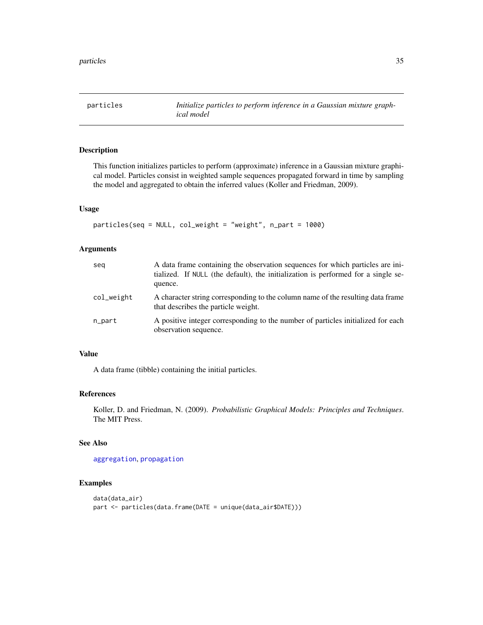<span id="page-34-1"></span><span id="page-34-0"></span>

### Description

This function initializes particles to perform (approximate) inference in a Gaussian mixture graphical model. Particles consist in weighted sample sequences propagated forward in time by sampling the model and aggregated to obtain the inferred values (Koller and Friedman, 2009).

# Usage

```
particles(seq = NULL, col_weight = "weight", n_part = 1000)
```
# Arguments

| seg        | A data frame containing the observation sequences for which particles are ini-<br>tialized. If NULL (the default), the initialization is performed for a single se-<br>quence. |
|------------|--------------------------------------------------------------------------------------------------------------------------------------------------------------------------------|
| col_weight | A character string corresponding to the column name of the resulting data frame<br>that describes the particle weight.                                                         |
| n_part     | A positive integer corresponding to the number of particles initialized for each<br>observation sequence.                                                                      |

# Value

A data frame (tibble) containing the initial particles.

#### References

Koller, D. and Friedman, N. (2009). *Probabilistic Graphical Models: Principles and Techniques*. The MIT Press.

# See Also

[aggregation](#page-5-1), [propagation](#page-37-1)

```
data(data_air)
part <- particles(data.frame(DATE = unique(data_air$DATE)))
```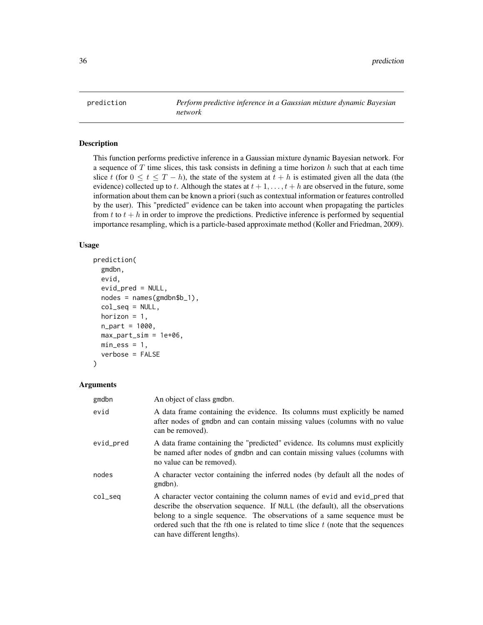<span id="page-35-1"></span><span id="page-35-0"></span>

# Description

This function performs predictive inference in a Gaussian mixture dynamic Bayesian network. For a sequence of  $T$  time slices, this task consists in defining a time horizon  $h$  such that at each time slice t (for  $0 \le t \le T - h$ ), the state of the system at  $t + h$  is estimated given all the data (the evidence) collected up to t. Although the states at  $t + 1, \ldots, t + h$  are observed in the future, some information about them can be known a priori (such as contextual information or features controlled by the user). This "predicted" evidence can be taken into account when propagating the particles from t to  $t + h$  in order to improve the predictions. Predictive inference is performed by sequential importance resampling, which is a particle-based approximate method (Koller and Friedman, 2009).

### Usage

```
prediction(
  gmdbn,
  evid,
  evid_pred = NULL,
  nodes = names(gmdbn$b_1),
  col_seq = NULL,
  horizon = 1,
  n_part = 1000,
 max\_part\_sim = 1e+06,
 min\_ess = 1,
  verbose = FALSE
)
```
### Arguments

| gmdbn     | An object of class gmdbn.                                                                                                                                                                                                                                                                                                                                      |
|-----------|----------------------------------------------------------------------------------------------------------------------------------------------------------------------------------------------------------------------------------------------------------------------------------------------------------------------------------------------------------------|
| evid      | A data frame containing the evidence. Its columns must explicitly be named<br>after nodes of gmdbn and can contain missing values (columns with no value<br>can be removed).                                                                                                                                                                                   |
| evid_pred | A data frame containing the "predicted" evidence. Its columns must explicitly<br>be named after nodes of gmdbn and can contain missing values (columns with<br>no value can be removed).                                                                                                                                                                       |
| nodes     | A character vector containing the inferred nodes (by default all the nodes of<br>gmdbn).                                                                                                                                                                                                                                                                       |
| col_seq   | A character vector containing the column names of evid and evid pred that<br>describe the observation sequence. If NULL (the default), all the observations<br>belong to a single sequence. The observations of a same sequence must be<br>ordered such that the theorem is related to time slice $t$ (note that the sequences<br>can have different lengths). |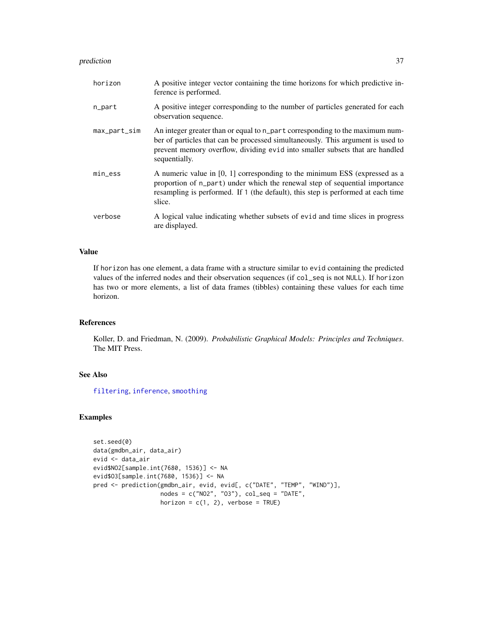### <span id="page-36-0"></span>prediction 37

| horizon      | A positive integer vector containing the time horizons for which predictive in-<br>ference is performed.                                                                                                                                                         |
|--------------|------------------------------------------------------------------------------------------------------------------------------------------------------------------------------------------------------------------------------------------------------------------|
| n_part       | A positive integer corresponding to the number of particles generated for each<br>observation sequence.                                                                                                                                                          |
| max_part_sim | An integer greater than or equal to n_part corresponding to the maximum num-<br>ber of particles that can be processed simultaneously. This argument is used to<br>prevent memory overflow, dividing evid into smaller subsets that are handled<br>sequentially. |
| $min\_ess$   | A numeric value in $[0, 1]$ corresponding to the minimum ESS (expressed as a<br>proportion of n_part) under which the renewal step of sequential importance<br>resampling is performed. If 1 (the default), this step is performed at each time<br>slice.        |
| verbose      | A logical value indicating whether subsets of evid and time slices in progress<br>are displayed.                                                                                                                                                                 |

# Value

If horizon has one element, a data frame with a structure similar to evid containing the predicted values of the inferred nodes and their observation sequences (if col\_seq is not NULL). If horizon has two or more elements, a list of data frames (tibbles) containing these values for each time horizon.

# References

Koller, D. and Friedman, N. (2009). *Probabilistic Graphical Models: Principles and Techniques*. The MIT Press.

# See Also

[filtering](#page-16-1), [inference](#page-24-1), [smoothing](#page-47-1)

```
set.seed(0)
data(gmdbn_air, data_air)
evid <- data_air
evid$NO2[sample.int(7680, 1536)] <- NA
evid$O3[sample.int(7680, 1536)] <- NA
pred <- prediction(gmdbn_air, evid, evid[, c("DATE", "TEMP", "WIND")],
                   nodes = c("NO2", "O3"), col\_seq = "DATE",horizon = c(1, 2), verbose = TRUE)
```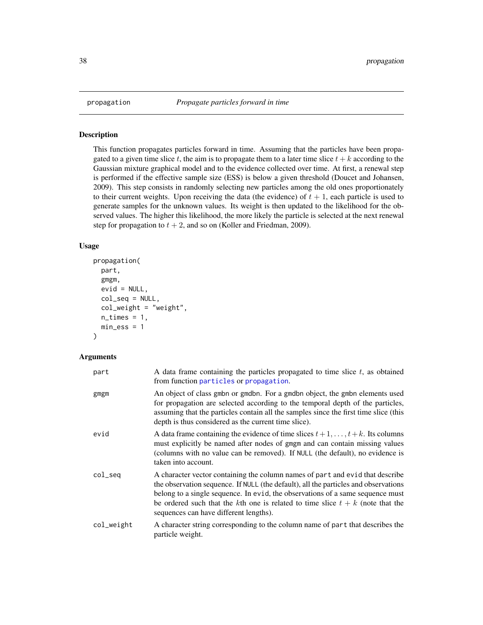### Description

This function propagates particles forward in time. Assuming that the particles have been propagated to a given time slice t, the aim is to propagate them to a later time slice  $t + k$  according to the Gaussian mixture graphical model and to the evidence collected over time. At first, a renewal step is performed if the effective sample size (ESS) is below a given threshold (Doucet and Johansen, 2009). This step consists in randomly selecting new particles among the old ones proportionately to their current weights. Upon receiving the data (the evidence) of  $t + 1$ , each particle is used to generate samples for the unknown values. Its weight is then updated to the likelihood for the observed values. The higher this likelihood, the more likely the particle is selected at the next renewal step for propagation to  $t + 2$ , and so on (Koller and Friedman, 2009).

### Usage

```
propagation(
  part,
  gmgm,
  evid = NULL,
  col_seq = NULL,
  col_weight = "weight",
 n_times = 1,
 min\_ess = 1)
```
### Arguments

| part       | A data frame containing the particles propagated to time slice $t$ , as obtained<br>from function particles or propagation.                                                                                                                                                                                                                                                          |
|------------|--------------------------------------------------------------------------------------------------------------------------------------------------------------------------------------------------------------------------------------------------------------------------------------------------------------------------------------------------------------------------------------|
| gmgm       | An object of class gmbn or gmdbn. For a gmdbn object, the gmbn elements used<br>for propagation are selected according to the temporal depth of the particles,<br>assuming that the particles contain all the samples since the first time slice (this<br>depth is thus considered as the current time slice).                                                                       |
| evid       | A data frame containing the evidence of time slices $t+1,\ldots,t+k$ . Its columns<br>must explicitly be named after nodes of gmgm and can contain missing values<br>(columns with no value can be removed). If NULL (the default), no evidence is<br>taken into account.                                                                                                            |
| col_seq    | A character vector containing the column names of part and evid that describe<br>the observation sequence. If NULL (the default), all the particles and observations<br>belong to a single sequence. In evid, the observations of a same sequence must<br>be ordered such that the kth one is related to time slice $t + k$ (note that the<br>sequences can have different lengths). |
| col_weight | A character string corresponding to the column name of part that describes the<br>particle weight.                                                                                                                                                                                                                                                                                   |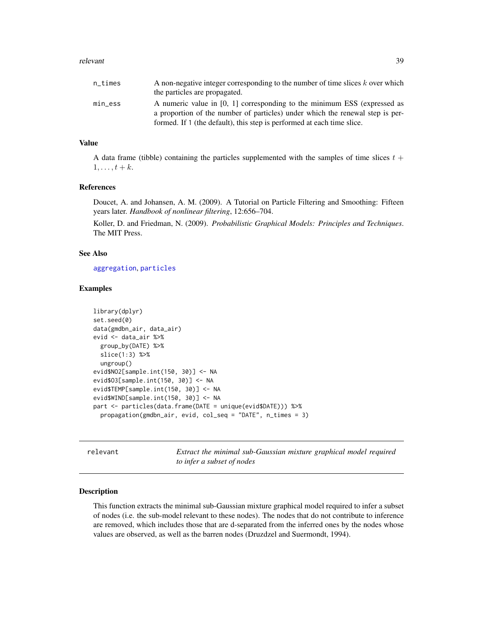### <span id="page-38-0"></span>relevant 39

| n times | A non-negative integer corresponding to the number of time slices $k$ over which |
|---------|----------------------------------------------------------------------------------|
|         | the particles are propagated.                                                    |
| min ess | A numeric value in $[0, 1]$ corresponding to the minimum ESS (expressed as       |
|         | a proportion of the number of particles) under which the renewal step is per-    |
|         | formed. If 1 (the default), this step is performed at each time slice.           |

# Value

A data frame (tibble) containing the particles supplemented with the samples of time slices  $t +$  $1, \ldots, t+k$ .

### References

Doucet, A. and Johansen, A. M. (2009). A Tutorial on Particle Filtering and Smoothing: Fifteen years later. *Handbook of nonlinear filtering*, 12:656–704.

Koller, D. and Friedman, N. (2009). *Probabilistic Graphical Models: Principles and Techniques*. The MIT Press.

# See Also

[aggregation](#page-5-1), [particles](#page-34-1)

### Examples

```
library(dplyr)
set.seed(0)
data(gmdbn_air, data_air)
evid <- data_air %>%
 group_by(DATE) %>%
 slice(1:3) %>%
 ungroup()
evid$NO2[sample.int(150, 30)] <- NA
evid$O3[sample.int(150, 30)] <- NA
evid$TEMP[sample.int(150, 30)] <- NA
evid$WIND[sample.int(150, 30)] <- NA
part <- particles(data.frame(DATE = unique(evid$DATE))) %>%
 propagation(gmdbn_air, evid, col_seq = "DATE", n_times = 3)
```
<span id="page-38-1"></span>relevant *Extract the minimal sub-Gaussian mixture graphical model required to infer a subset of nodes*

### Description

This function extracts the minimal sub-Gaussian mixture graphical model required to infer a subset of nodes (i.e. the sub-model relevant to these nodes). The nodes that do not contribute to inference are removed, which includes those that are d-separated from the inferred ones by the nodes whose values are observed, as well as the barren nodes (Druzdzel and Suermondt, 1994).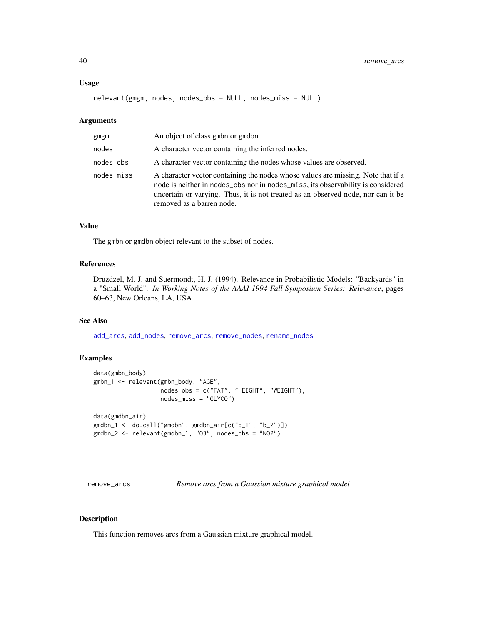### <span id="page-39-0"></span>Usage

relevant(gmgm, nodes, nodes\_obs = NULL, nodes\_miss = NULL)

### Arguments

| gmgm       | An object of class gmbn or gmdbn.                                                                                                                                                                                                                                                    |
|------------|--------------------------------------------------------------------------------------------------------------------------------------------------------------------------------------------------------------------------------------------------------------------------------------|
| nodes      | A character vector containing the inferred nodes.                                                                                                                                                                                                                                    |
| nodes_obs  | A character vector containing the nodes whose values are observed.                                                                                                                                                                                                                   |
| nodes_miss | A character vector containing the nodes whose values are missing. Note that if a<br>node is neither in nodes_obs nor in nodes_miss, its observability is considered<br>uncertain or varying. Thus, it is not treated as an observed node, nor can it be<br>removed as a barren node. |

# Value

The gmbn or gmdbn object relevant to the subset of nodes.

### References

Druzdzel, M. J. and Suermondt, H. J. (1994). Relevance in Probabilistic Models: "Backyards" in a "Small World". *In Working Notes of the AAAI 1994 Fall Symposium Series: Relevance*, pages 60–63, New Orleans, LA, USA.

# See Also

[add\\_arcs](#page-2-1), [add\\_nodes](#page-3-1), [remove\\_arcs](#page-39-1), [remove\\_nodes](#page-40-1), [rename\\_nodes](#page-42-2)

### Examples

```
data(gmbn_body)
gmbn_1 <- relevant(gmbn_body, "AGE",
                  nodes_obs = c("FAT", "HEIGHT", "WEIGHT"),
                  nodes_miss = "GLYCO")
data(gmdbn_air)
gmdbn_1 <- do.call("gmdbn", gmdbn_air[c("b_1", "b_2")])
gmdbn_2 <- relevant(gmdbn_1, "O3", nodes_obs = "NO2")
```
<span id="page-39-1"></span>remove\_arcs *Remove arcs from a Gaussian mixture graphical model*

### Description

This function removes arcs from a Gaussian mixture graphical model.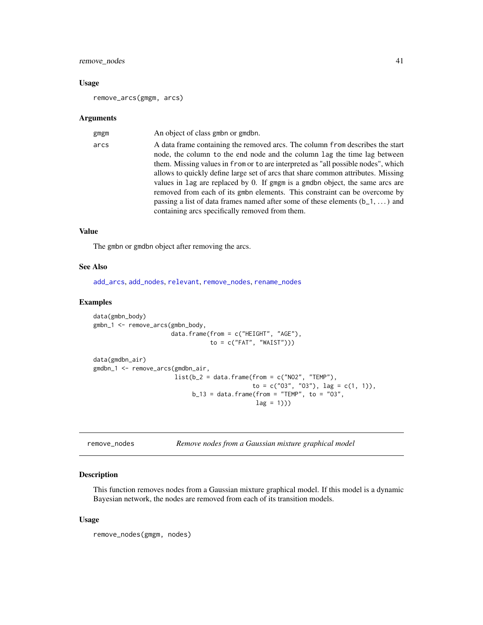# <span id="page-40-0"></span>remove\_nodes 41

### Usage

remove\_arcs(gmgm, arcs)

### Arguments

| gmgm | An object of class gmbn or gmdbn.                                                                                                                                                                                                                                                                                                                                                                                                                                                                                                                                                                                                            |
|------|----------------------------------------------------------------------------------------------------------------------------------------------------------------------------------------------------------------------------------------------------------------------------------------------------------------------------------------------------------------------------------------------------------------------------------------------------------------------------------------------------------------------------------------------------------------------------------------------------------------------------------------------|
| arcs | A data frame containing the removed arcs. The column from describes the start<br>node, the column to the end node and the column lag the time lag between<br>them. Missing values in from or to are interpreted as "all possible nodes", which<br>allows to quickly define large set of arcs that share common attributes. Missing<br>values in lag are replaced by 0. If gmgm is a gmdbn object, the same arcs are<br>removed from each of its gmbn elements. This constraint can be overcome by<br>passing a list of data frames named after some of these elements $(b_1, \ldots)$ and<br>containing arcs specifically removed from them. |
|      |                                                                                                                                                                                                                                                                                                                                                                                                                                                                                                                                                                                                                                              |

# Value

The gmbn or gmdbn object after removing the arcs.

### See Also

[add\\_arcs](#page-2-1), [add\\_nodes](#page-3-1), [relevant](#page-38-1), [remove\\_nodes](#page-40-1), [rename\\_nodes](#page-42-2)

### Examples

```
data(gmbn_body)
gmbn_1 <- remove_arcs(gmbn_body,
                     data.frame(from = c("HEIGHT", "AGE"),
                                 to = c("FAT", "WAIST")))
data(gmdbn_air)
gmdbn_1 <- remove_arcs(gmdbn_air,
                      list(b_2 = data frame(from = c("NO2", "TEMP"),to = c("03", "03"), lag = c(1, 1)),
                            b_13 = data. frame(from = "TEMP", to = "03",
                                              lag = 1))
```
<span id="page-40-1"></span>

| remove_nodes | Remove nodes from a Gaussian mixture graphical model |  |  |  |  |  |
|--------------|------------------------------------------------------|--|--|--|--|--|
|--------------|------------------------------------------------------|--|--|--|--|--|

# Description

This function removes nodes from a Gaussian mixture graphical model. If this model is a dynamic Bayesian network, the nodes are removed from each of its transition models.

### Usage

remove\_nodes(gmgm, nodes)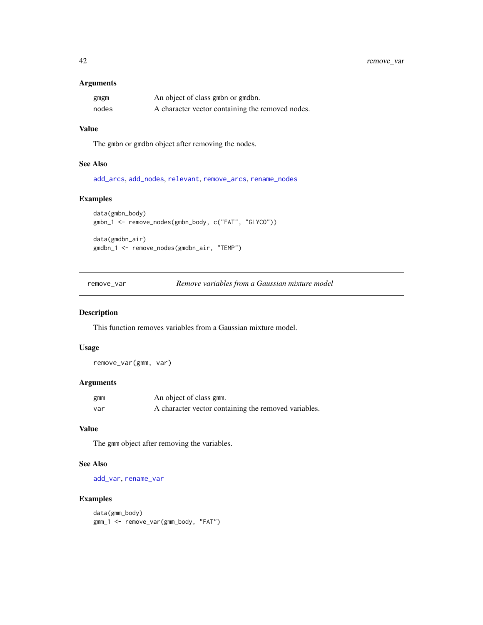# <span id="page-41-0"></span>Arguments

| gmgm  | An object of class gmbn or gmdbn.                |
|-------|--------------------------------------------------|
| nodes | A character vector containing the removed nodes. |

### Value

The gmbn or gmdbn object after removing the nodes.

# See Also

[add\\_arcs](#page-2-1), [add\\_nodes](#page-3-1), [relevant](#page-38-1), [remove\\_arcs](#page-39-1), [rename\\_nodes](#page-42-2)

# Examples

```
data(gmbn_body)
gmbn_1 <- remove_nodes(gmbn_body, c("FAT", "GLYCO"))
```
data(gmdbn\_air) gmdbn\_1 <- remove\_nodes(gmdbn\_air, "TEMP")

<span id="page-41-1"></span>remove\_var *Remove variables from a Gaussian mixture model*

# Description

This function removes variables from a Gaussian mixture model.

# Usage

remove\_var(gmm, var)

# Arguments

| gmm | An object of class gmm.                              |
|-----|------------------------------------------------------|
| var | A character vector containing the removed variables. |

# Value

The gmm object after removing the variables.

# See Also

[add\\_var](#page-4-1), [rename\\_var](#page-42-1)

```
data(gmm_body)
gmm_1 <- remove_var(gmm_body, "FAT")
```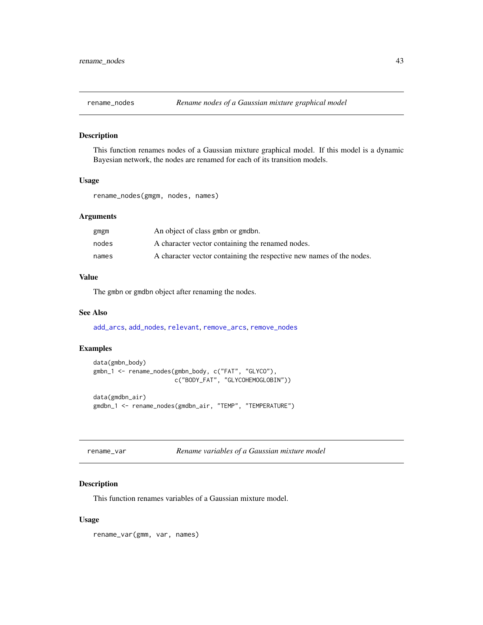<span id="page-42-2"></span><span id="page-42-0"></span>

### Description

This function renames nodes of a Gaussian mixture graphical model. If this model is a dynamic Bayesian network, the nodes are renamed for each of its transition models.

# Usage

rename\_nodes(gmgm, nodes, names)

# Arguments

| gmgm  | An object of class gmbn or gmdbn.                                    |
|-------|----------------------------------------------------------------------|
| nodes | A character vector containing the renamed nodes.                     |
| names | A character vector containing the respective new names of the nodes. |

### Value

The gmbn or gmdbn object after renaming the nodes.

### See Also

[add\\_arcs](#page-2-1), [add\\_nodes](#page-3-1), [relevant](#page-38-1), [remove\\_arcs](#page-39-1), [remove\\_nodes](#page-40-1)

# Examples

```
data(gmbn_body)
gmbn_1 <- rename_nodes(gmbn_body, c("FAT", "GLYCO"),
                      c("BODY_FAT", "GLYCOHEMOGLOBIN"))
data(gmdbn_air)
gmdbn_1 <- rename_nodes(gmdbn_air, "TEMP", "TEMPERATURE")
```
<span id="page-42-1"></span>rename\_var *Rename variables of a Gaussian mixture model*

# Description

This function renames variables of a Gaussian mixture model.

### Usage

rename\_var(gmm, var, names)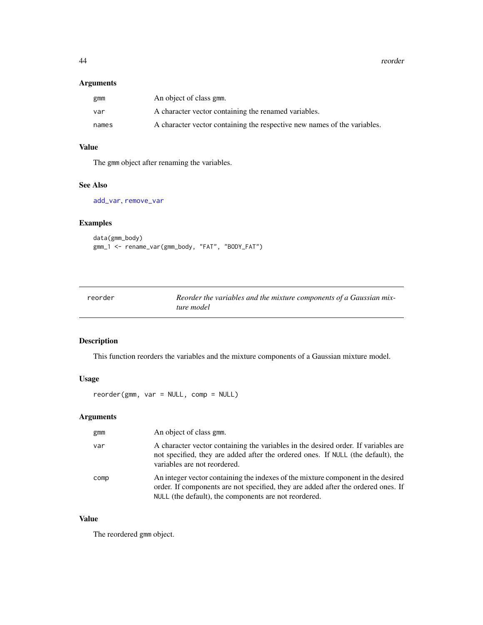<span id="page-43-0"></span>44 reorder

# Arguments

| gmm   | An object of class gmm.                                                  |
|-------|--------------------------------------------------------------------------|
| var   | A character vector containing the renamed variables.                     |
| names | A character vector containing the respective new names of the variables. |

# Value

The gmm object after renaming the variables.

# See Also

[add\\_var](#page-4-1), [remove\\_var](#page-41-1)

# Examples

```
data(gmm_body)
gmm_1 <- rename_var(gmm_body, "FAT", "BODY_FAT")
```
<span id="page-43-1"></span>

| reorder | Reorder the variables and the mixture components of a Gaussian mix- |
|---------|---------------------------------------------------------------------|
|         | ture model                                                          |

# Description

This function reorders the variables and the mixture components of a Gaussian mixture model.

# Usage

reorder(gmm, var = NULL, comp = NULL)

# Arguments

| gmm  | An object of class gmm.                                                                                                                                                                                                        |
|------|--------------------------------------------------------------------------------------------------------------------------------------------------------------------------------------------------------------------------------|
| var  | A character vector containing the variables in the desired order. If variables are<br>not specified, they are added after the ordered ones. If NULL (the default), the<br>variables are not reordered.                         |
| comp | An integer vector containing the indexes of the mixture component in the desired<br>order. If components are not specified, they are added after the ordered ones. If<br>NULL (the default), the components are not reordered. |

# Value

The reordered gmm object.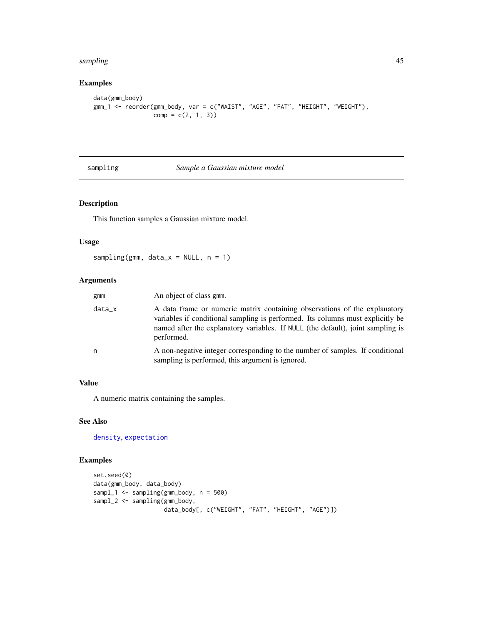### <span id="page-44-0"></span>sampling the contract of the contract of the contract of the contract of the contract of the contract of the contract of the contract of the contract of the contract of the contract of the contract of the contract of the c

# Examples

```
data(gmm_body)
gmm_1 <- reorder(gmm_body, var = c("WAIST", "AGE", "FAT", "HEIGHT", "WEIGHT"),
                comp = c(2, 1, 3)
```
<span id="page-44-1"></span>sampling *Sample a Gaussian mixture model*

# Description

This function samples a Gaussian mixture model.

### Usage

```
sampling(gmm, data_x = NULL, n = 1)
```
# Arguments

| gmm    | An object of class gmm.                                                                                                                                                                                                                                      |
|--------|--------------------------------------------------------------------------------------------------------------------------------------------------------------------------------------------------------------------------------------------------------------|
| data_x | A data frame or numeric matrix containing observations of the explanatory<br>variables if conditional sampling is performed. Its columns must explicitly be<br>named after the explanatory variables. If NULL (the default), joint sampling is<br>performed. |
| n      | A non-negative integer corresponding to the number of samples. If conditional<br>sampling is performed, this argument is ignored.                                                                                                                            |

### Value

A numeric matrix containing the samples.

# See Also

[density](#page-12-2), [expectation](#page-15-1)

```
set.seed(0)
data(gmm_body, data_body)
sampl_1 <- sampling(gmm_body, n = 500)
sampl_2 <- sampling(gmm_body,
                    data_body[, c("WEIGHT", "FAT", "HEIGHT", "AGE")])
```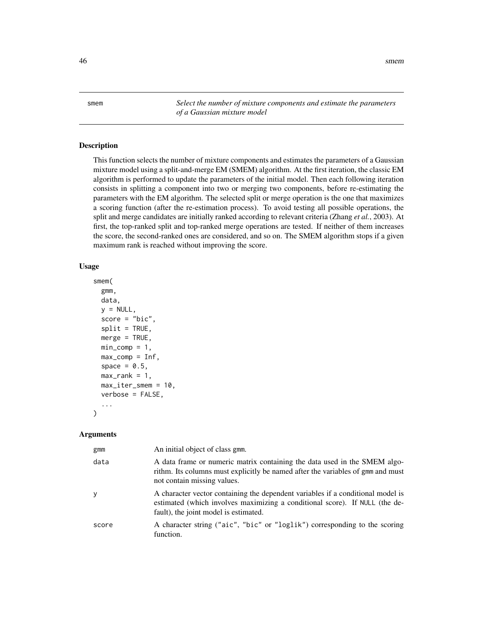<span id="page-45-0"></span>46 smem

<span id="page-45-1"></span>smem *Select the number of mixture components and estimate the parameters of a Gaussian mixture model*

# Description

This function selects the number of mixture components and estimates the parameters of a Gaussian mixture model using a split-and-merge EM (SMEM) algorithm. At the first iteration, the classic EM algorithm is performed to update the parameters of the initial model. Then each following iteration consists in splitting a component into two or merging two components, before re-estimating the parameters with the EM algorithm. The selected split or merge operation is the one that maximizes a scoring function (after the re-estimation process). To avoid testing all possible operations, the split and merge candidates are initially ranked according to relevant criteria (Zhang *et al.*, 2003). At first, the top-ranked split and top-ranked merge operations are tested. If neither of them increases the score, the second-ranked ones are considered, and so on. The SMEM algorithm stops if a given maximum rank is reached without improving the score.

### Usage

```
smem(
  gmm,
  data,
 y = NULL,
  score = "bic",
  split = TRUE,merge = TRUE,min\_comp = 1,
 max_{comp} = Inf,space = 0.5,
 max\_rank = 1,
 max_iter_smem = 10,
  verbose = FALSE,
  ...
```
### Arguments

)

| gmm   | An initial object of class gmm.                                                                                                                                                                         |
|-------|---------------------------------------------------------------------------------------------------------------------------------------------------------------------------------------------------------|
| data  | A data frame or numeric matrix containing the data used in the SMEM algo-<br>rithm. Its columns must explicitly be named after the variables of gmm and must<br>not contain missing values.             |
| y     | A character vector containing the dependent variables if a conditional model is<br>estimated (which involves maximizing a conditional score). If NULL (the de-<br>fault), the joint model is estimated. |
| score | A character string ("aic", "bic" or "loglik") corresponding to the scoring<br>function.                                                                                                                 |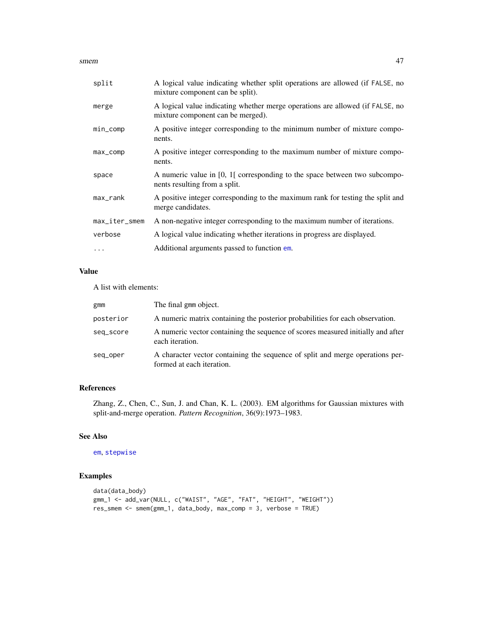<span id="page-46-0"></span>smem and the state of the state of the state of the state of the state of the state of the state of the state of the state of the state of the state of the state of the state of the state of the state of the state of the s

| split         | A logical value indicating whether split operations are allowed (if FALSE, no<br>mixture component can be split).  |
|---------------|--------------------------------------------------------------------------------------------------------------------|
| merge         | A logical value indicating whether merge operations are allowed (if FALSE, no<br>mixture component can be merged). |
| $min\_comp$   | A positive integer corresponding to the minimum number of mixture compo-<br>nents.                                 |
| $max_{comp}$  | A positive integer corresponding to the maximum number of mixture compo-<br>nents.                                 |
| space         | A numeric value in [0, 1] corresponding to the space between two subcompo-<br>nents resulting from a split.        |
| max_rank      | A positive integer corresponding to the maximum rank for testing the split and<br>merge candidates.                |
| max_iter_smem | A non-negative integer corresponding to the maximum number of iterations.                                          |
| verbose       | A logical value indicating whether iterations in progress are displayed.                                           |
| $\ddots$      | Additional arguments passed to function em.                                                                        |

# Value

A list with elements:

| gmm       | The final gmm object.                                                                                      |
|-----------|------------------------------------------------------------------------------------------------------------|
| posterior | A numeric matrix containing the posterior probabilities for each observation.                              |
| seq_score | A numeric vector containing the sequence of scores measured initially and after<br>each iteration.         |
| seg_oper  | A character vector containing the sequence of split and merge operations per-<br>formed at each iteration. |

# References

Zhang, Z., Chen, C., Sun, J. and Chan, K. L. (2003). EM algorithms for Gaussian mixtures with split-and-merge operation. *Pattern Recognition*, 36(9):1973–1983.

# See Also

[em](#page-13-1), [stepwise](#page-49-1)

```
data(data_body)
gmm_1 <- add_var(NULL, c("WAIST", "AGE", "FAT", "HEIGHT", "WEIGHT"))
res_smem <- smem(gmm_1, data_body, max_comp = 3, verbose = TRUE)
```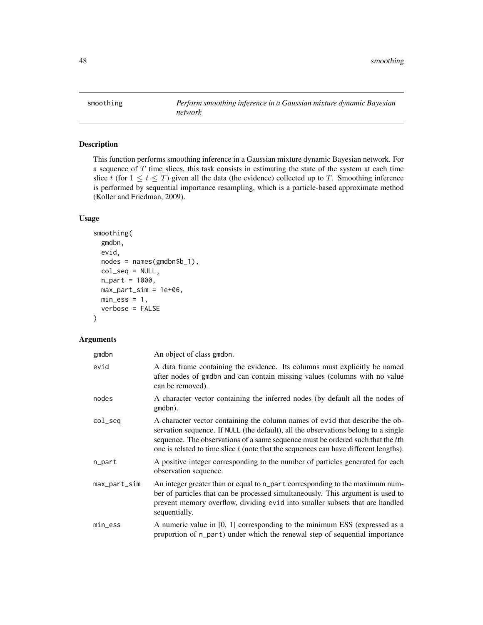<span id="page-47-1"></span><span id="page-47-0"></span>

# Description

This function performs smoothing inference in a Gaussian mixture dynamic Bayesian network. For a sequence of  $T$  time slices, this task consists in estimating the state of the system at each time slice t (for  $1 \le t \le T$ ) given all the data (the evidence) collected up to T. Smoothing inference is performed by sequential importance resampling, which is a particle-based approximate method (Koller and Friedman, 2009).

# Usage

```
smoothing(
  gmdbn,
 evid,
 nodes = names(gmdbn$b_1),
  col_seq = NULL,
 n_{part} = 1000,max_part_sim = 1e+06,
 min\_ess = 1,
  verbose = FALSE
)
```
# Arguments

| gmdbn        | An object of class gmdbn.                                                                                                                                                                                                                                                                                                                       |
|--------------|-------------------------------------------------------------------------------------------------------------------------------------------------------------------------------------------------------------------------------------------------------------------------------------------------------------------------------------------------|
| evid         | A data frame containing the evidence. Its columns must explicitly be named<br>after nodes of gmdbn and can contain missing values (columns with no value<br>can be removed).                                                                                                                                                                    |
| nodes        | A character vector containing the inferred nodes (by default all the nodes of<br>gmdbn).                                                                                                                                                                                                                                                        |
| col_seq      | A character vector containing the column names of evid that describe the ob-<br>servation sequence. If NULL (the default), all the observations belong to a single<br>sequence. The observations of a same sequence must be ordered such that the tth<br>one is related to time slice $t$ (note that the sequences can have different lengths). |
| n_part       | A positive integer corresponding to the number of particles generated for each<br>observation sequence.                                                                                                                                                                                                                                         |
| max_part_sim | An integer greater than or equal to n_part corresponding to the maximum num-<br>ber of particles that can be processed simultaneously. This argument is used to<br>prevent memory overflow, dividing evid into smaller subsets that are handled<br>sequentially.                                                                                |
| min_ess      | A numeric value in $[0, 1]$ corresponding to the minimum ESS (expressed as a<br>proportion of n_part) under which the renewal step of sequential importance                                                                                                                                                                                     |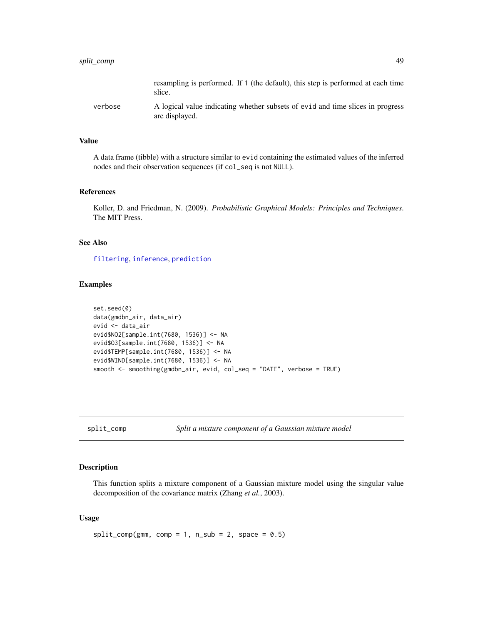<span id="page-48-0"></span>

|         | resampling is performed. If 1 (the default), this step is performed at each time<br>slice.       |
|---------|--------------------------------------------------------------------------------------------------|
| verbose | A logical value indicating whether subsets of evid and time slices in progress<br>are displayed. |

### Value

A data frame (tibble) with a structure similar to evid containing the estimated values of the inferred nodes and their observation sequences (if col\_seq is not NULL).

# References

Koller, D. and Friedman, N. (2009). *Probabilistic Graphical Models: Principles and Techniques*. The MIT Press.

# See Also

[filtering](#page-16-1), [inference](#page-24-1), [prediction](#page-35-1)

# Examples

```
set.seed(0)
data(gmdbn_air, data_air)
evid <- data_air
evid$NO2[sample.int(7680, 1536)] <- NA
evid$O3[sample.int(7680, 1536)] <- NA
evid$TEMP[sample.int(7680, 1536)] <- NA
evid$WIND[sample.int(7680, 1536)] <- NA
smooth <- smoothing(gmdbn_air, evid, col_seq = "DATE", verbose = TRUE)
```
<span id="page-48-1"></span>split\_comp *Split a mixture component of a Gaussian mixture model*

### Description

This function splits a mixture component of a Gaussian mixture model using the singular value decomposition of the covariance matrix (Zhang *et al.*, 2003).

### Usage

```
split\_comp(gmm, comp = 1, n\_sub = 2, space = 0.5)
```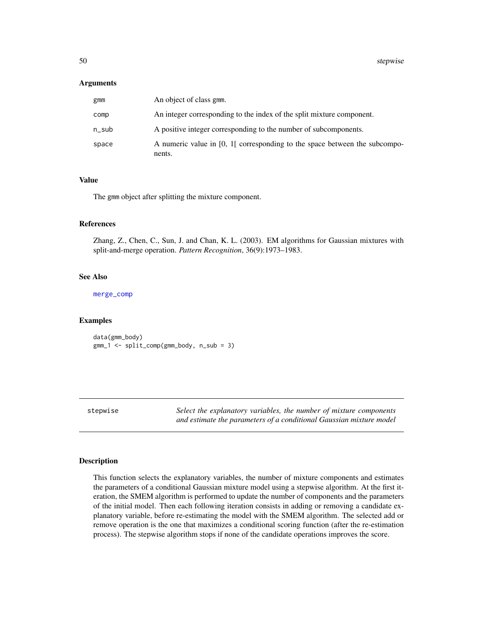### <span id="page-49-0"></span>Arguments

| gmm   | An object of class gmm.                                                                |
|-------|----------------------------------------------------------------------------------------|
| comp  | An integer corresponding to the index of the split mixture component.                  |
| n_sub | A positive integer corresponding to the number of subcomponents.                       |
| space | A numeric value in $[0, 1]$ corresponding to the space between the subcompo-<br>nents. |

### Value

The gmm object after splitting the mixture component.

### References

Zhang, Z., Chen, C., Sun, J. and Chan, K. L. (2003). EM algorithms for Gaussian mixtures with split-and-merge operation. *Pattern Recognition*, 36(9):1973–1983.

### See Also

[merge\\_comp](#page-27-1)

### Examples

data(gmm\_body) gmm\_1 <- split\_comp(gmm\_body, n\_sub = 3)

<span id="page-49-1"></span>stepwise *Select the explanatory variables, the number of mixture components and estimate the parameters of a conditional Gaussian mixture model*

# Description

This function selects the explanatory variables, the number of mixture components and estimates the parameters of a conditional Gaussian mixture model using a stepwise algorithm. At the first iteration, the SMEM algorithm is performed to update the number of components and the parameters of the initial model. Then each following iteration consists in adding or removing a candidate explanatory variable, before re-estimating the model with the SMEM algorithm. The selected add or remove operation is the one that maximizes a conditional scoring function (after the re-estimation process). The stepwise algorithm stops if none of the candidate operations improves the score.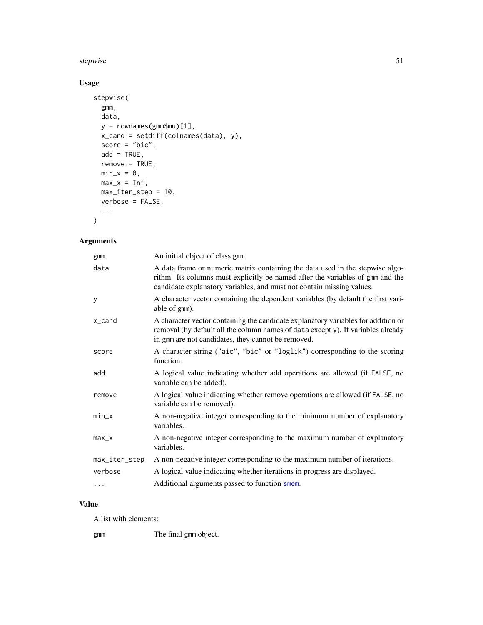### <span id="page-50-0"></span>stepwise 51

# Usage

```
stepwise(
 gmm,
 data,
 y = rownames(gmm$mu)[1],
 x_cand = setdiff(colnames(data), y),
 score = "bic",
 add = TRUE,remove = TRUE,
 min_x = 0,
 max_x = Inf,max_iter_step = 10,
 verbose = FALSE,
  ...
\,
```
# Arguments

| gmm           | An initial object of class gmm.                                                                                                                                                                                                          |
|---------------|------------------------------------------------------------------------------------------------------------------------------------------------------------------------------------------------------------------------------------------|
| data          | A data frame or numeric matrix containing the data used in the stepwise algo-<br>rithm. Its columns must explicitly be named after the variables of gmm and the<br>candidate explanatory variables, and must not contain missing values. |
| У             | A character vector containing the dependent variables (by default the first vari-<br>able of gmm).                                                                                                                                       |
| x_cand        | A character vector containing the candidate explanatory variables for addition or<br>removal (by default all the column names of data except y). If variables already<br>in gmm are not candidates, they cannot be removed.              |
| score         | A character string ("aic", "bic" or "loglik") corresponding to the scoring<br>function.                                                                                                                                                  |
| add           | A logical value indicating whether add operations are allowed (if FALSE, no<br>variable can be added).                                                                                                                                   |
| remove        | A logical value indicating whether remove operations are allowed (if FALSE, no<br>variable can be removed).                                                                                                                              |
| min_x         | A non-negative integer corresponding to the minimum number of explanatory<br>variables.                                                                                                                                                  |
| max_x         | A non-negative integer corresponding to the maximum number of explanatory<br>variables.                                                                                                                                                  |
| max_iter_step | A non-negative integer corresponding to the maximum number of iterations.                                                                                                                                                                |
| verbose       | A logical value indicating whether iterations in progress are displayed.                                                                                                                                                                 |
| $\cdots$      | Additional arguments passed to function smem.                                                                                                                                                                                            |

# Value

A list with elements:

gmm The final gmm object.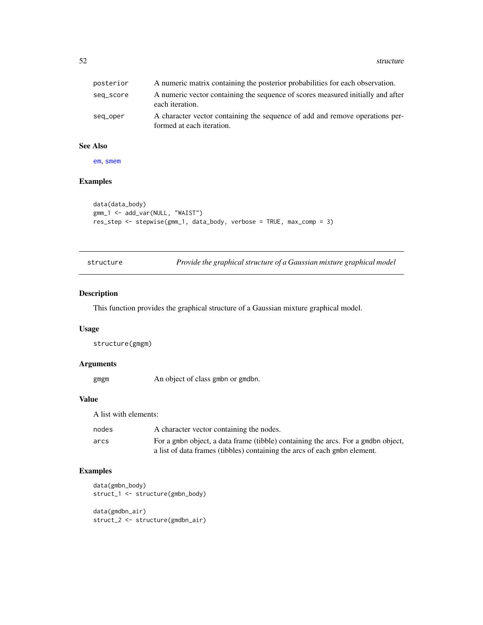<span id="page-51-0"></span>52 structure and the structure of the structure of the structure structure of the structure of the structure

| posterior | A numeric matrix containing the posterior probabilities for each observation.                             |
|-----------|-----------------------------------------------------------------------------------------------------------|
| seq_score | A numeric vector containing the sequence of scores measured initially and after<br>each iteration.        |
| seq_oper  | A character vector containing the sequence of add and remove operations per-<br>formed at each iteration. |

# See Also

[em](#page-13-1), [smem](#page-45-1)

# Examples

```
data(data_body)
gmm_1 <- add_var(NULL, "WAIST")
res_step <- stepwise(gmm_1, data_body, verbose = TRUE, max_comp = 3)
```
<span id="page-51-1"></span>structure *Provide the graphical structure of a Gaussian mixture graphical model*

### Description

This function provides the graphical structure of a Gaussian mixture graphical model.

#### Usage

structure(gmgm)

### Arguments

gmgm An object of class gmbn or gmdbn.

# Value

A list with elements:

| nodes | A character vector containing the nodes.                                          |
|-------|-----------------------------------------------------------------------------------|
| arcs  | For a gmbn object, a data frame (tibble) containing the arcs. For a gmdbn object, |
|       | a list of data frames (tibbles) containing the arcs of each gmbn element.         |

```
data(gmbn_body)
struct_1 <- structure(gmbn_body)
data(gmdbn_air)
struct_2 <- structure(gmdbn_air)
```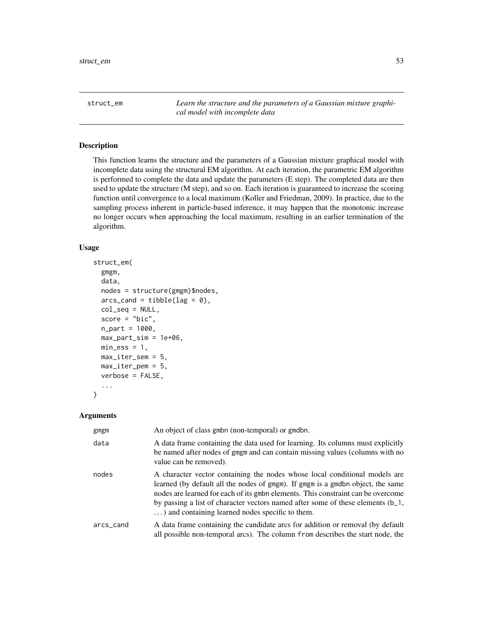<span id="page-52-1"></span><span id="page-52-0"></span>struct\_em *Learn the structure and the parameters of a Gaussian mixture graphical model with incomplete data*

### Description

This function learns the structure and the parameters of a Gaussian mixture graphical model with incomplete data using the structural EM algorithm. At each iteration, the parametric EM algorithm is performed to complete the data and update the parameters (E step). The completed data are then used to update the structure (M step), and so on. Each iteration is guaranteed to increase the scoring function until convergence to a local maximum (Koller and Friedman, 2009). In practice, due to the sampling process inherent in particle-based inference, it may happen that the monotonic increase no longer occurs when approaching the local maximum, resulting in an earlier termination of the algorithm.

# Usage

```
struct_em(
  gmgm,
  data,
  nodes = structure(gmgm)$nodes,
  arcs\_c = tibble(lag = 0),
  col_seq = NULL,
  score = "bic",n_{part} = 1000,max_part_sim = 1e+06,
 min\_ess = 1,
 max\_iter\_sem = 5,
 max\_iter\_pem = 5,
  verbose = FALSE,
  ...
)
```
#### **Arguments**

| gmgm      | An object of class gmbn (non-temporal) or gmdbn.                                                                                                                                                                                                                                                                                                                                         |
|-----------|------------------------------------------------------------------------------------------------------------------------------------------------------------------------------------------------------------------------------------------------------------------------------------------------------------------------------------------------------------------------------------------|
| data      | A data frame containing the data used for learning. Its columns must explicitly<br>be named after nodes of gmgm and can contain missing values (columns with no<br>value can be removed).                                                                                                                                                                                                |
| nodes     | A character vector containing the nodes whose local conditional models are<br>learned (by default all the nodes of gmgm). If gmgm is a gmdbn object, the same<br>nodes are learned for each of its gmbn elements. This constraint can be overcome<br>by passing a list of character vectors named after some of these elements (b_1,<br>) and containing learned nodes specific to them. |
| arcs_cand | A data frame containing the candidate arcs for addition or removal (by default<br>all possible non-temporal arcs). The column from describes the start node, the                                                                                                                                                                                                                         |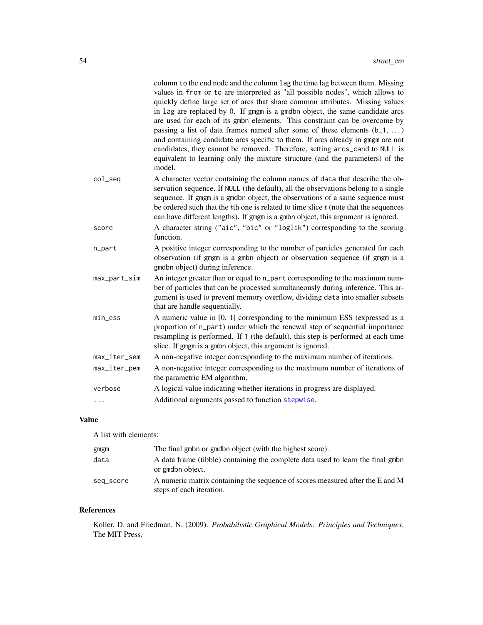<span id="page-53-0"></span>

|              | column to the end node and the column lag the time lag between them. Missing<br>values in from or to are interpreted as "all possible nodes", which allows to<br>quickly define large set of arcs that share common attributes. Missing values<br>in lag are replaced by 0. If gmgm is a gmdbn object, the same candidate arcs<br>are used for each of its gmbn elements. This constraint can be overcome by<br>passing a list of data frames named after some of these elements $(b_1, \ldots)$<br>and containing candidate arcs specific to them. If arcs already in gmgm are not<br>candidates, they cannot be removed. Therefore, setting arcs_cand to NULL is<br>equivalent to learning only the mixture structure (and the parameters) of the<br>model. |
|--------------|---------------------------------------------------------------------------------------------------------------------------------------------------------------------------------------------------------------------------------------------------------------------------------------------------------------------------------------------------------------------------------------------------------------------------------------------------------------------------------------------------------------------------------------------------------------------------------------------------------------------------------------------------------------------------------------------------------------------------------------------------------------|
| col_seq      | A character vector containing the column names of data that describe the ob-<br>servation sequence. If NULL (the default), all the observations belong to a single<br>sequence. If gmgm is a gmdbn object, the observations of a same sequence must<br>be ordered such that the $t$ th one is related to time slice $t$ (note that the sequences<br>can have different lengths). If gmgm is a gmbn object, this argument is ignored.                                                                                                                                                                                                                                                                                                                          |
| score        | A character string ("aic", "bic" or "loglik") corresponding to the scoring<br>function.                                                                                                                                                                                                                                                                                                                                                                                                                                                                                                                                                                                                                                                                       |
| n_part       | A positive integer corresponding to the number of particles generated for each<br>observation (if gmgm is a gmbn object) or observation sequence (if gmgm is a<br>gmdbn object) during inference.                                                                                                                                                                                                                                                                                                                                                                                                                                                                                                                                                             |
| max_part_sim | An integer greater than or equal to n_part corresponding to the maximum num-<br>ber of particles that can be processed simultaneously during inference. This ar-<br>gument is used to prevent memory overflow, dividing data into smaller subsets<br>that are handle sequentially.                                                                                                                                                                                                                                                                                                                                                                                                                                                                            |
| min_ess      | A numeric value in [0, 1] corresponding to the minimum ESS (expressed as a<br>proportion of n_part) under which the renewal step of sequential importance<br>resampling is performed. If 1 (the default), this step is performed at each time<br>slice. If gmgm is a gmbn object, this argument is ignored.                                                                                                                                                                                                                                                                                                                                                                                                                                                   |
| max_iter_sem | A non-negative integer corresponding to the maximum number of iterations.                                                                                                                                                                                                                                                                                                                                                                                                                                                                                                                                                                                                                                                                                     |
| max_iter_pem | A non-negative integer corresponding to the maximum number of iterations of<br>the parametric EM algorithm.                                                                                                                                                                                                                                                                                                                                                                                                                                                                                                                                                                                                                                                   |
| verbose      | A logical value indicating whether iterations in progress are displayed.                                                                                                                                                                                                                                                                                                                                                                                                                                                                                                                                                                                                                                                                                      |
| .            | Additional arguments passed to function stepwise.                                                                                                                                                                                                                                                                                                                                                                                                                                                                                                                                                                                                                                                                                                             |
|              |                                                                                                                                                                                                                                                                                                                                                                                                                                                                                                                                                                                                                                                                                                                                                               |

# Value

A list with elements:

| gmgm      | The final gmbn or gmdbn object (with the highest score).                                                  |
|-----------|-----------------------------------------------------------------------------------------------------------|
| data      | A data frame (tibble) containing the complete data used to learn the final gmbn<br>or gmdbn object.       |
| seq_score | A numeric matrix containing the sequence of scores measured after the E and M<br>steps of each iteration. |

# References

Koller, D. and Friedman, N. (2009). *Probabilistic Graphical Models: Principles and Techniques*. The MIT Press.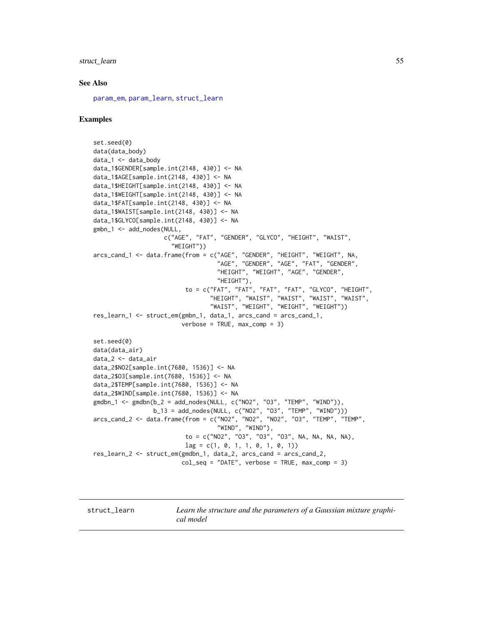### <span id="page-54-0"></span>struct\_learn 55

### See Also

[param\\_em](#page-28-2), [param\\_learn](#page-31-1), [struct\\_learn](#page-54-1)

# Examples

```
set.seed(0)
data(data_body)
data_1 <- data_body
data_1$GENDER[sample.int(2148, 430)] <- NA
data_1$AGE[sample.int(2148, 430)] <- NA
data_1$HEIGHT[sample.int(2148, 430)] <- NA
data_1$WEIGHT[sample.int(2148, 430)] <- NA
data_1$FAT[sample.int(2148, 430)] <- NA
data_1$WAIST[sample.int(2148, 430)] <- NA
data_1$GLYCO[sample.int(2148, 430)] <- NA
gmbn_1 <- add_nodes(NULL,
                    c("AGE", "FAT", "GENDER", "GLYCO", "HEIGHT", "WAIST",
                      "WEIGHT"))
arcs_cand_1 <- data.frame(from = c("AGE", "GENDER", "HEIGHT", "WEIGHT", NA,
                                   "AGE", "GENDER", "AGE", "FAT", "GENDER",
                                   "HEIGHT", "WEIGHT", "AGE", "GENDER",
                                   "HEIGHT"),
                          to = c("FAT", "FAT", "FAT", "FAT", "GLYCO", "HEIGHT",
                                 "HEIGHT", "WAIST", "WAIST", "WAIST", "WAIST",
                                 "WAIST", "WEIGHT", "WEIGHT", "WEIGHT"))
res_learn_1 <- struct_em(gmbn_1, data_1, arcs_cand = arcs_cand_1,
                         verbose = TRUE, max_comp = 3)
set.seed(0)
data(data_air)
data_2 <- data_air
data_2$NO2[sample.int(7680, 1536)] <- NA
data_2$O3[sample.int(7680, 1536)] <- NA
data_2$TEMP[sample.int(7680, 1536)] <- NA
data_2$WIND[sample.int(7680, 1536)] <- NA
gmdbn_1 <- gmdbn(b_2 = add\_nodes(NULL, c("NO2", "O3", "TEMP", "WIND")),
                 b_13 = add_nodes(NULL, c("NO2", "O3", "TEMP", "WIND")))
arcs_cand_2 <- data.frame(from = c("NO2", "NO2", "NO2", "O3", "TEMP", "TEMP",
                                   "WIND", "WIND"),
                          to = c("NO2", "O3", "O3", "O3", NA, NA, NA, NA),
                          lag = c(1, 0, 1, 1, 0, 1, 0, 1))res_learn_2 <- struct_em(gmdbn_1, data_2, arcs_cand = arcs_cand_2,
                         col\_seq = "DATE", verbose = TRUE, max_{comp} = 3)
```
<span id="page-54-1"></span>struct\_learn *Learn the structure and the parameters of a Gaussian mixture graphical model*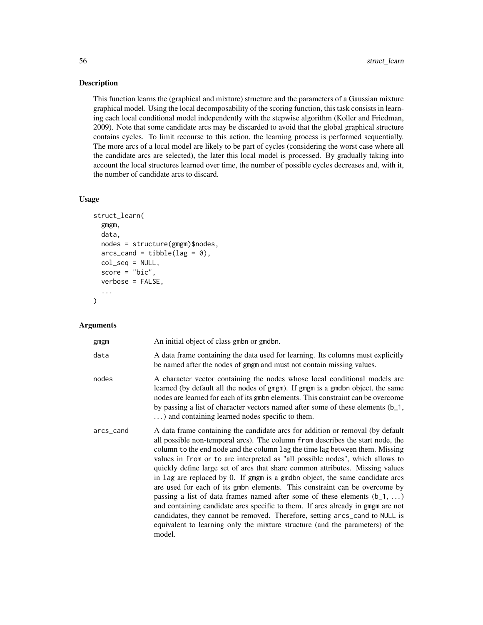# Description

This function learns the (graphical and mixture) structure and the parameters of a Gaussian mixture graphical model. Using the local decomposability of the scoring function, this task consists in learning each local conditional model independently with the stepwise algorithm (Koller and Friedman, 2009). Note that some candidate arcs may be discarded to avoid that the global graphical structure contains cycles. To limit recourse to this action, the learning process is performed sequentially. The more arcs of a local model are likely to be part of cycles (considering the worst case where all the candidate arcs are selected), the later this local model is processed. By gradually taking into account the local structures learned over time, the number of possible cycles decreases and, with it, the number of candidate arcs to discard.

# Usage

```
struct_learn(
  gmgm,
  data,
  nodes = structure(gmgm)$nodes,
  arcs\_c = tibble(lag = 0),
  col_seq = NULL,
  score = "bic",verbose = FALSE,
  ...
)
```
# Arguments

| gmgm      | An initial object of class gmbn or gmdbn.                                                                                                                                                                                                                                                                                                                                                                                                                                                                                                                                                                                                                                                                                                                                                                                                                                                                                         |
|-----------|-----------------------------------------------------------------------------------------------------------------------------------------------------------------------------------------------------------------------------------------------------------------------------------------------------------------------------------------------------------------------------------------------------------------------------------------------------------------------------------------------------------------------------------------------------------------------------------------------------------------------------------------------------------------------------------------------------------------------------------------------------------------------------------------------------------------------------------------------------------------------------------------------------------------------------------|
| data      | A data frame containing the data used for learning. Its columns must explicitly<br>be named after the nodes of gmgm and must not contain missing values.                                                                                                                                                                                                                                                                                                                                                                                                                                                                                                                                                                                                                                                                                                                                                                          |
| nodes     | A character vector containing the nodes whose local conditional models are<br>learned (by default all the nodes of gmgm). If gmgm is a gmdbn object, the same<br>nodes are learned for each of its gmbn elements. This constraint can be overcome<br>by passing a list of character vectors named after some of these elements (b_1,<br>) and containing learned nodes specific to them.                                                                                                                                                                                                                                                                                                                                                                                                                                                                                                                                          |
| arcs_cand | A data frame containing the candidate arcs for addition or removal (by default<br>all possible non-temporal arcs). The column from describes the start node, the<br>column to the end node and the column lag the time lag between them. Missing<br>values in from or to are interpreted as "all possible nodes", which allows to<br>quickly define large set of arcs that share common attributes. Missing values<br>in lag are replaced by 0. If gmgm is a gmdbn object, the same candidate arcs<br>are used for each of its gmbn elements. This constraint can be overcome by<br>passing a list of data frames named after some of these elements $(b_1, \ldots)$<br>and containing candidate arcs specific to them. If arcs already in gmgm are not<br>candidates, they cannot be removed. Therefore, setting arcs_cand to NULL is<br>equivalent to learning only the mixture structure (and the parameters) of the<br>model. |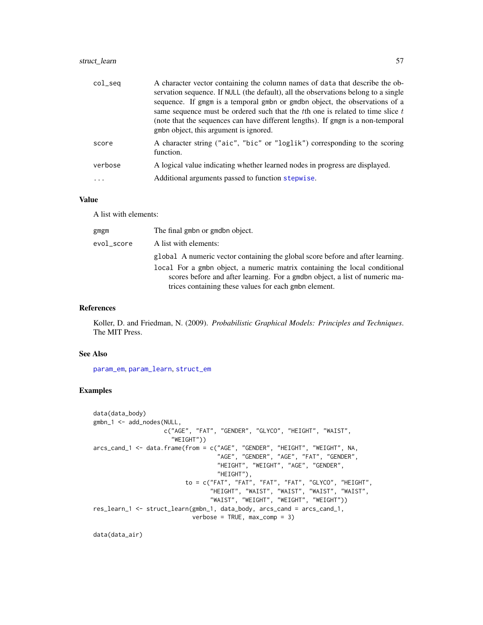# <span id="page-56-0"></span>struct\_learn 57

| $col\_seq$ | A character vector containing the column names of data that describe the ob-<br>servation sequence. If NULL (the default), all the observations belong to a single<br>sequence. If gmgm is a temporal gmbn or gmdbn object, the observations of a<br>same sequence must be ordered such that the the one is related to time slice t<br>(note that the sequences can have different lengths). If gmgm is a non-temporal<br>gmbn object, this argument is ignored. |
|------------|------------------------------------------------------------------------------------------------------------------------------------------------------------------------------------------------------------------------------------------------------------------------------------------------------------------------------------------------------------------------------------------------------------------------------------------------------------------|
| score      | A character string ("aic", "bic" or "loglik") corresponding to the scoring<br>function.                                                                                                                                                                                                                                                                                                                                                                          |
| verbose    | A logical value indicating whether learned nodes in progress are displayed.                                                                                                                                                                                                                                                                                                                                                                                      |
| $\cdots$   | Additional arguments passed to function stepwise.                                                                                                                                                                                                                                                                                                                                                                                                                |
|            |                                                                                                                                                                                                                                                                                                                                                                                                                                                                  |

# Value

A list with elements:

| gmgm       | The final gmbn or gmdbn object.                                                                                                                                                                                    |
|------------|--------------------------------------------------------------------------------------------------------------------------------------------------------------------------------------------------------------------|
| evol_score | A list with elements:                                                                                                                                                                                              |
|            | global A numeric vector containing the global score before and after learning.                                                                                                                                     |
|            | local For a gmbn object, a numeric matrix containing the local conditional<br>scores before and after learning. For a gmdbn object, a list of numeric ma-<br>trices containing these values for each gmbn element. |

# References

Koller, D. and Friedman, N. (2009). *Probabilistic Graphical Models: Principles and Techniques*. The MIT Press.

### See Also

[param\\_em](#page-28-2), [param\\_learn](#page-31-1), [struct\\_em](#page-52-1)

# Examples

```
data(data_body)
gmbn_1 <- add_nodes(NULL,
                    c("AGE", "FAT", "GENDER", "GLYCO", "HEIGHT", "WAIST",
                      "WEIGHT"))
arcs_cand_1 <- data.frame(from = c("AGE", "GENDER", "HEIGHT", "WEIGHT", NA,
                                   "AGE", "GENDER", "AGE", "FAT", "GENDER",
                                   "HEIGHT", "WEIGHT", "AGE", "GENDER",
                                   "HEIGHT"),
                          to = c("FAT", "FAT", "FAT", "FAT", "GLYCO", "HEIGHT",
                                 "HEIGHT", "WAIST", "WAIST", "WAIST", "WAIST",
                                 "WAIST", "WEIGHT", "WEIGHT", "WEIGHT"))
res_learn_1 <- struct_learn(gmbn_1, data_body, arcs_cand = arcs_cand_1,
                            verbose = TRUE, max_{comp} = 3)
```
data(data\_air)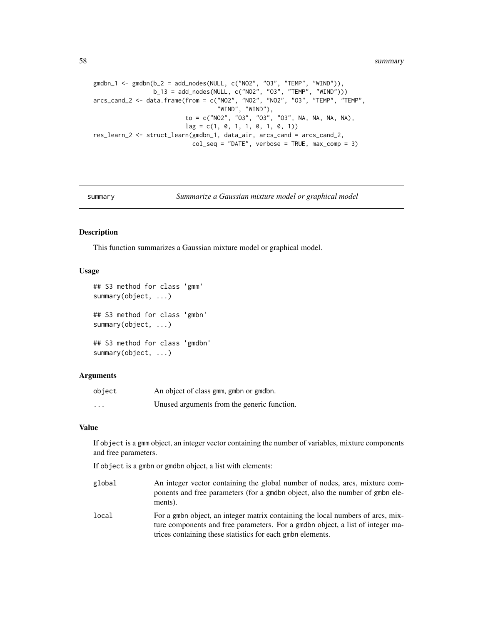<span id="page-57-0"></span>58 summary

```
gmdbn_1 <- gmdbn(b_2 = add_nodes(NULL, c("NO2", "O3", "TEMP", "WIND")),
                 b_13 = add_nodes(NULL, c("NO2", "O3", "TEMP", "WIND")))
arcs_cand_2 <- data.frame(from = c("NO2", "NO2", "NO2", "O3", "TEMP", "TEMP",
                                   "WIND", "WIND"),
                          to = c("NO2", "O3", "O3", "O3", NA, NA, NA, NA),
                          lag = c(1, 0, 1, 1, 0, 1, 0, 1))res_learn_2 <- struct_learn(gmdbn_1, data_air, arcs_cand = arcs_cand_2,
                            col\_seq = "DATE", verbose = TRUE, max\_comp = 3)
```
summary *Summarize a Gaussian mixture model or graphical model*

#### <span id="page-57-1"></span>Description

This function summarizes a Gaussian mixture model or graphical model.

# Usage

```
## S3 method for class 'gmm'
summary(object, ...)
## S3 method for class 'gmbn'
summary(object, ...)
## S3 method for class 'gmdbn'
summary(object, ...)
```
### Arguments

| object   | An object of class gmm, gmbn or gmdbn.      |
|----------|---------------------------------------------|
| $\cdots$ | Unused arguments from the generic function. |

### Value

If object is a gmm object, an integer vector containing the number of variables, mixture components and free parameters.

If object is a gmbn or gmdbn object, a list with elements:

- global An integer vector containing the global number of nodes, arcs, mixture components and free parameters (for a gmdbn object, also the number of gmbn elements).
- local For a gmbn object, an integer matrix containing the local numbers of arcs, mixture components and free parameters. For a gmdbn object, a list of integer matrices containing these statistics for each gmbn elements.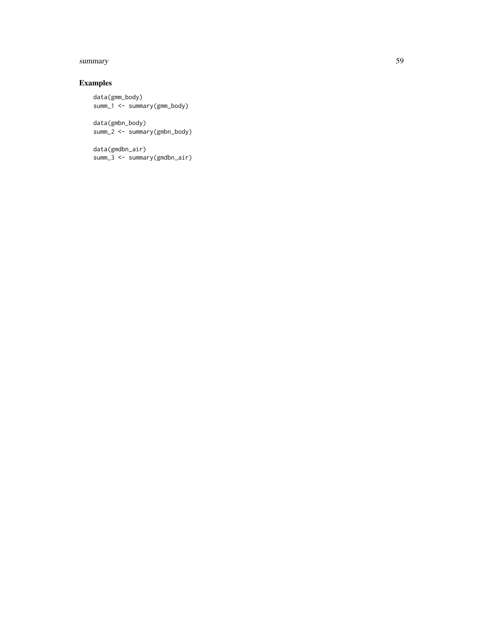### summary 59

# Examples

```
data(gmm_body)
summ_1 <- summary(gmm_body)
```
data(gmbn\_body) summ\_2 <- summary(gmbn\_body)

data(gmdbn\_air) summ\_3 <- summary(gmdbn\_air)